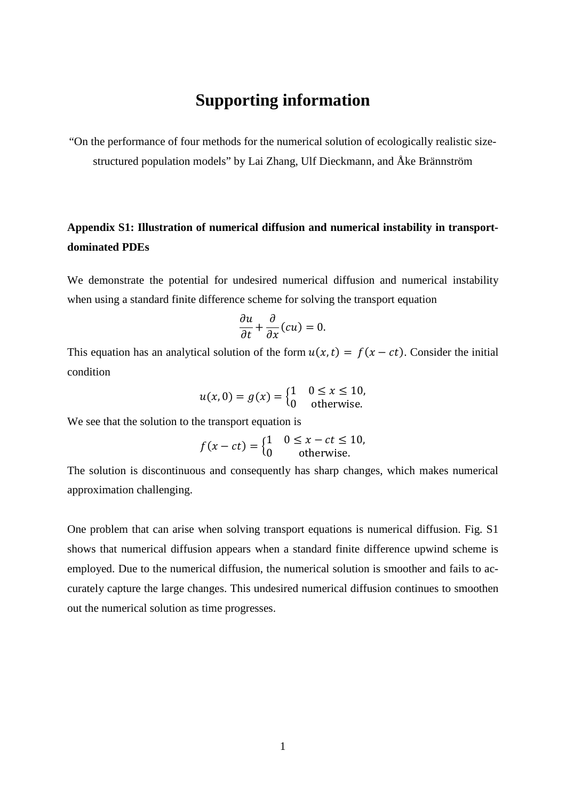## **Supporting information**

"On the performance of four methods for the numerical solution of ecologically realistic sizestructured population models" by Lai Zhang, Ulf Dieckmann, and Åke Brännström

## **Appendix S1: Illustration of numerical diffusion and numerical instability in transportdominated PDEs**

We demonstrate the potential for undesired numerical diffusion and numerical instability when using a standard finite difference scheme for solving the transport equation

$$
\frac{\partial u}{\partial t} + \frac{\partial}{\partial x}(cu) = 0.
$$

This equation has an analytical solution of the form  $u(x, t) = f(x - ct)$ . Consider the initial condition

$$
u(x,0) = g(x) = \begin{cases} 1 & 0 \le x \le 10, \\ 0 & \text{otherwise.} \end{cases}
$$

We see that the solution to the transport equation is

$$
f(x - ct) = \begin{cases} 1 & 0 \le x - ct \le 10, \\ 0 & \text{otherwise.} \end{cases}
$$

The solution is discontinuous and consequently has sharp changes, which makes numerical approximation challenging.

One problem that can arise when solving transport equations is numerical diffusion. Fig. S1 shows that numerical diffusion appears when a standard finite difference upwind scheme is employed. Due to the numerical diffusion, the numerical solution is smoother and fails to accurately capture the large changes. This undesired numerical diffusion continues to smoothen out the numerical solution as time progresses.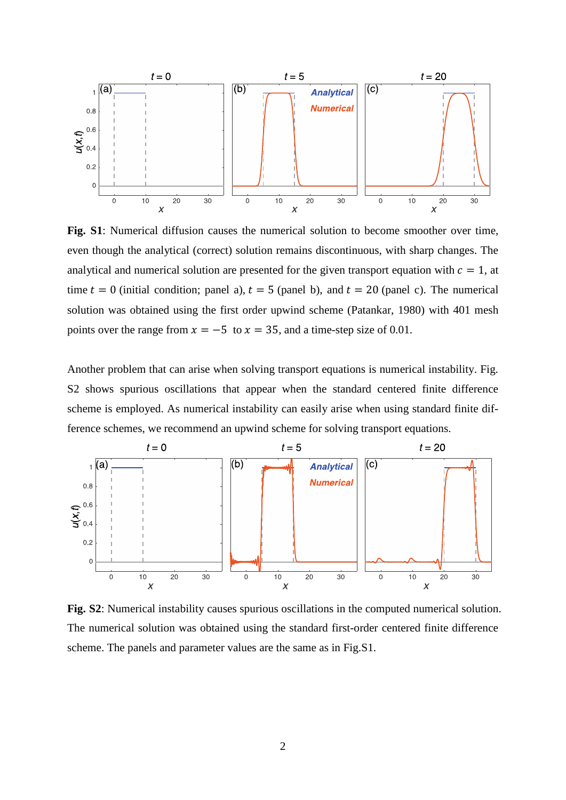

**Fig. S1**: Numerical diffusion causes the numerical solution to become smoother over time, even though the analytical (correct) solution remains discontinuous, with sharp changes. The analytical and numerical solution are presented for the given transport equation with  $c = 1$ , at time  $t = 0$  (initial condition; panel a),  $t = 5$  (panel b), and  $t = 20$  (panel c). The numerical solution was obtained using the first order upwind scheme (Patankar, 1980) with 401 mesh points over the range from  $x = -5$  to  $x = 35$ , and a time-step size of 0.01.

Another problem that can arise when solving transport equations is numerical instability. Fig. S2 shows spurious oscillations that appear when the standard centered finite difference scheme is employed. As numerical instability can easily arise when using standard finite difference schemes, we recommend an upwind scheme for solving transport equations.



**Fig. S2**: Numerical instability causes spurious oscillations in the computed numerical solution. The numerical solution was obtained using the standard first-order centered finite difference scheme. The panels and parameter values are the same as in Fig.S1.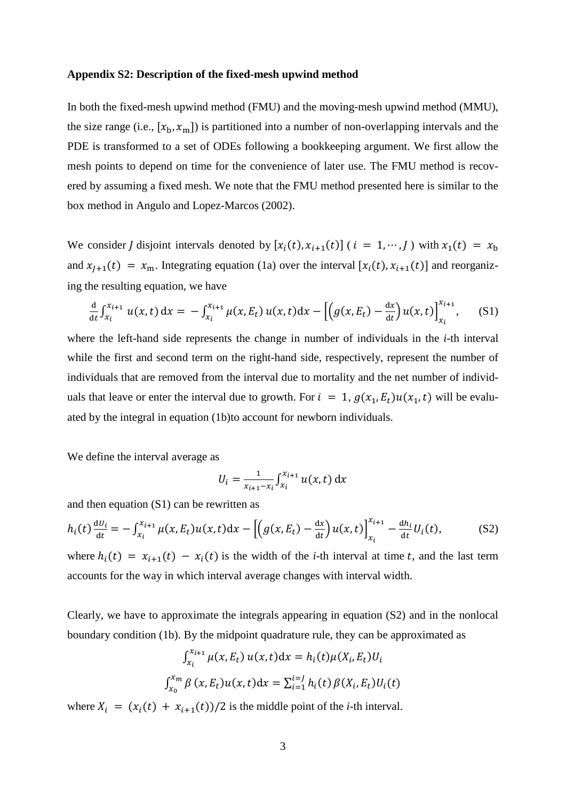#### **Appendix S2: Description of the fixed-mesh upwind method**

In both the fixed-mesh upwind method (FMU) and the moving-mesh upwind method (MMU), the size range (i.e.,  $[x_h, x_m]$ ) is partitioned into a number of non-overlapping intervals and the PDE is transformed to a set of ODEs following a bookkeeping argument. We first allow the mesh points to depend on time for the convenience of later use. The FMU method is recovered by assuming a fixed mesh. We note that the FMU method presented here is similar to the box method in Angulo and Lopez-Marcos (2002).

We consider *I* disjoint intervals denoted by  $[x_i(t), x_{i+1}(t)]$  ( $i = 1, \dots, I$ ) with  $x_1(t) = x_b$ and  $x_{l+1}(t) = x_m$ . Integrating equation (1a) over the interval  $[x_i(t), x_{i+1}(t)]$  and reorganizing the resulting equation, we have

$$
\frac{d}{dt} \int_{x_i}^{x_{i+1}} u(x,t) dx = - \int_{x_i}^{x_{i+1}} \mu(x, E_t) u(x,t) dx - \left[ \left( g(x, E_t) - \frac{dx}{dt} \right) u(x,t) \right]_{x_i}^{x_{i+1}}, \quad (S1)
$$

where the left-hand side represents the change in number of individuals in the *i*-th interval while the first and second term on the right-hand side, respectively, represent the number of individuals that are removed from the interval due to mortality and the net number of individuals that leave or enter the interval due to growth. For  $i = 1$ ,  $g(x_1, E_t)u(x_1, t)$  will be evaluated by the integral in equation (1b)to account for newborn individuals.

We define the interval average as

$$
U_i = \frac{1}{x_{i+1} - x_i} \int_{x_i}^{x_{i+1}} u(x, t) \, dx
$$

and then equation (S1) can be rewritten as

$$
h_i(t) \frac{dU_i}{dt} = -\int_{x_i}^{x_{i+1}} \mu(x, E_t) u(x, t) dx - \left[ \left( g(x, E_t) - \frac{dx}{dt} \right) u(x, t) \right]_{x_i}^{x_{i+1}} - \frac{dh_i}{dt} U_i(t), \tag{S2}
$$

where  $h_i(t) = x_{i+1}(t) - x_i(t)$  is the width of the *i*-th interval at time t, and the last term accounts for the way in which interval average changes with interval width.

Clearly, we have to approximate the integrals appearing in equation (S2) and in the nonlocal boundary condition (1b). By the midpoint quadrature rule, they can be approximated as

$$
\int_{x_i}^{x_{i+1}} \mu(x, E_t) u(x, t) dx = h_i(t) \mu(X_i, E_t) U_i
$$
  

$$
\int_{x_0}^{x_m} \beta(x, E_t) u(x, t) dx = \sum_{i=1}^{i=J} h_i(t) \beta(X_i, E_t) U_i(t)
$$

where  $X_i = (x_i(t) + x_{i+1}(t))/2$  is the middle point of the *i*-th interval.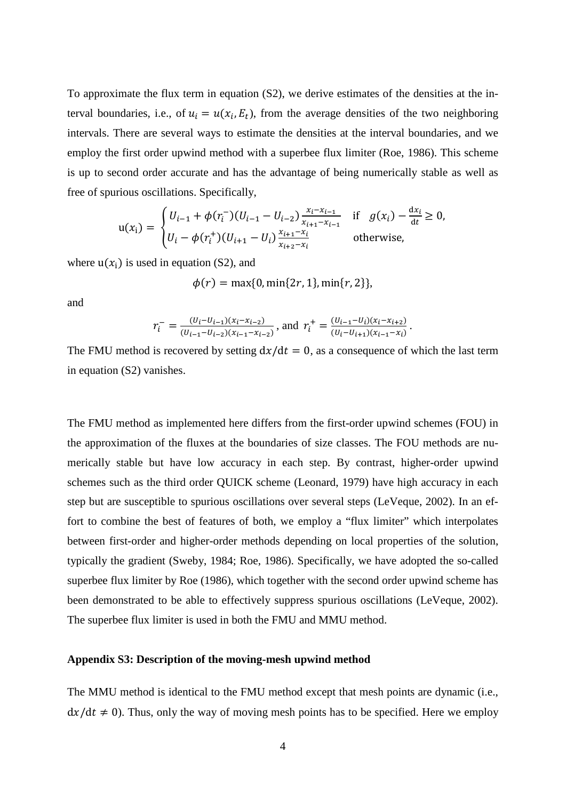To approximate the flux term in equation (S2), we derive estimates of the densities at the interval boundaries, i.e., of  $u_i = u(x_i, E_t)$ , from the average densities of the two neighboring intervals. There are several ways to estimate the densities at the interval boundaries, and we employ the first order upwind method with a superbee flux limiter (Roe, 1986). This scheme is up to second order accurate and has the advantage of being numerically stable as well as free of spurious oscillations. Specifically,

$$
\mathbf{u}(x_i) = \begin{cases} U_{i-1} + \phi(r_i^-)(U_{i-1} - U_{i-2}) \frac{x_i - x_{i-1}}{x_{i+1} - x_{i-1}} & \text{if } g(x_i) - \frac{dx_i}{dt} \ge 0, \\ U_i - \phi(r_i^+)(U_{i+1} - U_i) \frac{x_{i+1} - x_i}{x_{i+2} - x_i} & \text{otherwise,} \end{cases}
$$

where  $u(x_i)$  is used in equation (S2), and

$$
\phi(r) = \max\{0, \min\{2r, 1\}, \min\{r, 2\}\},\
$$

and

$$
r_i^- = \frac{(U_i - U_{i-1})(x_i - x_{i-2})}{(U_{i-1} - U_{i-2})(x_{i-1} - x_{i-2})}, \text{ and } r_i^+ = \frac{(U_{i-1} - U_i)(x_i - x_{i+2})}{(U_i - U_{i+1})(x_{i-1} - x_i)}.
$$

The FMU method is recovered by setting  $dx/dt = 0$ , as a consequence of which the last term in equation (S2) vanishes.

The FMU method as implemented here differs from the first-order upwind schemes (FOU) in the approximation of the fluxes at the boundaries of size classes. The FOU methods are numerically stable but have low accuracy in each step. By contrast, higher-order upwind schemes such as the third order QUICK scheme (Leonard, 1979) have high accuracy in each step but are susceptible to spurious oscillations over several steps (LeVeque, 2002). In an effort to combine the best of features of both, we employ a "flux limiter" which interpolates between first-order and higher-order methods depending on local properties of the solution, typically the gradient (Sweby, 1984; Roe, 1986). Specifically, we have adopted the so-called superbee flux limiter by Roe (1986), which together with the second order upwind scheme has been demonstrated to be able to effectively suppress spurious oscillations (LeVeque, 2002). The superbee flux limiter is used in both the FMU and MMU method.

### **Appendix S3: Description of the moving-mesh upwind method**

The MMU method is identical to the FMU method except that mesh points are dynamic (i.e.,  $dx/dt \neq 0$ . Thus, only the way of moving mesh points has to be specified. Here we employ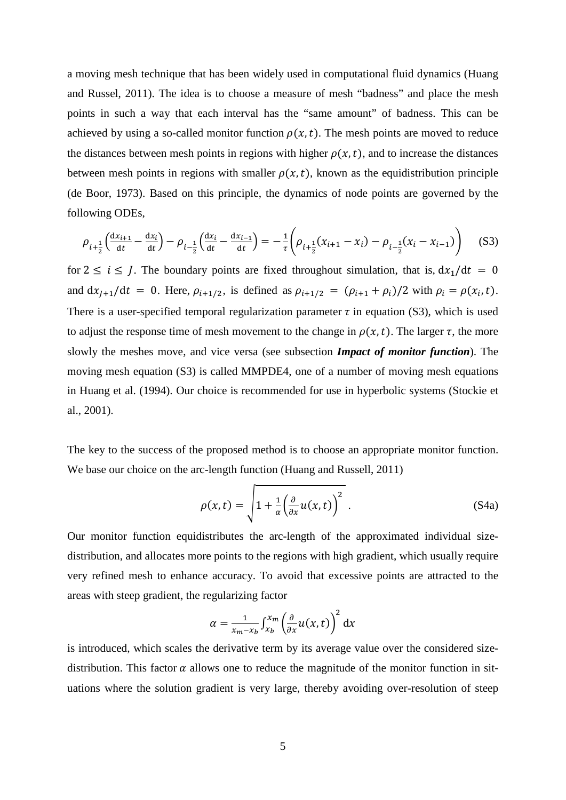a moving mesh technique that has been widely used in computational fluid dynamics (Huang and Russel, 2011). The idea is to choose a measure of mesh "badness" and place the mesh points in such a way that each interval has the "same amount" of badness. This can be achieved by using a so-called monitor function  $\rho(x, t)$ . The mesh points are moved to reduce the distances between mesh points in regions with higher  $\rho(x, t)$ , and to increase the distances between mesh points in regions with smaller  $\rho(x, t)$ , known as the equidistribution principle (de Boor, 1973). Based on this principle, the dynamics of node points are governed by the following ODEs,

$$
\rho_{i+\frac{1}{2}}\left(\frac{dx_{i+1}}{dt} - \frac{dx_i}{dt}\right) - \rho_{i-\frac{1}{2}}\left(\frac{dx_i}{dt} - \frac{dx_{i-1}}{dt}\right) = -\frac{1}{\tau}\left(\rho_{i+\frac{1}{2}}(x_{i+1} - x_i) - \rho_{i-\frac{1}{2}}(x_i - x_{i-1})\right) \tag{S3}
$$

for  $2 \le i \le J$ . The boundary points are fixed throughout simulation, that is,  $dx_1/dt = 0$ and  $dx_{j+1}/dt = 0$ . Here,  $\rho_{i+1/2}$ , is defined as  $\rho_{i+1/2} = (\rho_{i+1} + \rho_i)/2$  with  $\rho_i = \rho(x_i, t)$ . There is a user-specified temporal regularization parameter  $\tau$  in equation (S3), which is used to adjust the response time of mesh movement to the change in  $\rho(x, t)$ . The larger  $\tau$ , the more slowly the meshes move, and vice versa (see subsection *Impact of monitor function*). The moving mesh equation (S3) is called MMPDE4, one of a number of moving mesh equations in Huang et al. (1994). Our choice is recommended for use in hyperbolic systems (Stockie et al., 2001).

The key to the success of the proposed method is to choose an appropriate monitor function. We base our choice on the arc-length function (Huang and Russell, 2011)

$$
\rho(x,t) = \sqrt{1 + \frac{1}{\alpha} \left(\frac{\partial}{\partial x} u(x,t)\right)^2}.
$$
\n(S4a)

Our monitor function equidistributes the arc-length of the approximated individual sizedistribution, and allocates more points to the regions with high gradient, which usually require very refined mesh to enhance accuracy. To avoid that excessive points are attracted to the areas with steep gradient, the regularizing factor

$$
\alpha = \frac{1}{x_m - x_b} \int_{x_b}^{x_m} \left( \frac{\partial}{\partial x} u(x, t) \right)^2 dx
$$

is introduced, which scales the derivative term by its average value over the considered sizedistribution. This factor  $\alpha$  allows one to reduce the magnitude of the monitor function in situations where the solution gradient is very large, thereby avoiding over-resolution of steep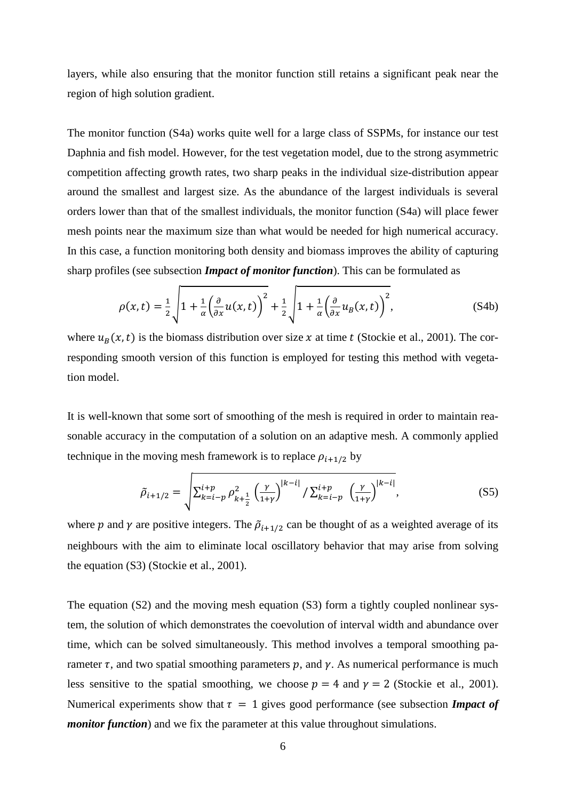layers, while also ensuring that the monitor function still retains a significant peak near the region of high solution gradient.

The monitor function (S4a) works quite well for a large class of SSPMs, for instance our test Daphnia and fish model. However, for the test vegetation model, due to the strong asymmetric competition affecting growth rates, two sharp peaks in the individual size-distribution appear around the smallest and largest size. As the abundance of the largest individuals is several orders lower than that of the smallest individuals, the monitor function (S4a) will place fewer mesh points near the maximum size than what would be needed for high numerical accuracy. In this case, a function monitoring both density and biomass improves the ability of capturing sharp profiles (see subsection *Impact of monitor function*). This can be formulated as

$$
\rho(x,t) = \frac{1}{2} \sqrt{1 + \frac{1}{\alpha} \left(\frac{\partial}{\partial x} u(x,t)\right)^2 + \frac{1}{2} \sqrt{1 + \frac{1}{\alpha} \left(\frac{\partial}{\partial x} u_B(x,t)\right)^2}},
$$
\n(S4b)

where  $u_R(x, t)$  is the biomass distribution over size x at time t (Stockie et al., 2001). The corresponding smooth version of this function is employed for testing this method with vegetation model.

It is well-known that some sort of smoothing of the mesh is required in order to maintain reasonable accuracy in the computation of a solution on an adaptive mesh. A commonly applied technique in the moving mesh framework is to replace  $\rho_{i+1/2}$  by

$$
\tilde{\rho}_{i+1/2} = \sqrt{\sum_{k=i-p}^{i+p} \rho_{k+\frac{1}{2}}^2 \left(\frac{\gamma}{1+\gamma}\right)^{|k-i|} / \sum_{k=i-p}^{i+p} \left(\frac{\gamma}{1+\gamma}\right)^{|k-i|}},
$$
\n(S5)

where p and  $\gamma$  are positive integers. The  $\tilde{\rho}_{i+1/2}$  can be thought of as a weighted average of its neighbours with the aim to eliminate local oscillatory behavior that may arise from solving the equation (S3) (Stockie et al., 2001).

The equation (S2) and the moving mesh equation (S3) form a tightly coupled nonlinear system, the solution of which demonstrates the coevolution of interval width and abundance over time, which can be solved simultaneously. This method involves a temporal smoothing parameter  $\tau$ , and two spatial smoothing parameters p, and  $\gamma$ . As numerical performance is much less sensitive to the spatial smoothing, we choose  $p = 4$  and  $\gamma = 2$  (Stockie et al., 2001). Numerical experiments show that  $\tau = 1$  gives good performance (see subsection *Impact of monitor function*) and we fix the parameter at this value throughout simulations.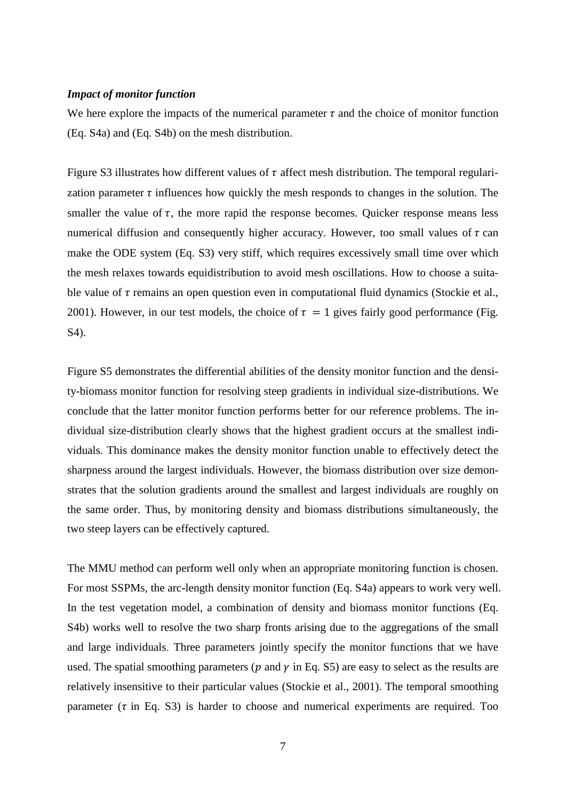### *Impact of monitor function*

We here explore the impacts of the numerical parameter  $\tau$  and the choice of monitor function (Eq. S4a) and (Eq. S4b) on the mesh distribution.

Figure S3 illustrates how different values of  $\tau$  affect mesh distribution. The temporal regularization parameter  $\tau$  influences how quickly the mesh responds to changes in the solution. The smaller the value of  $\tau$ , the more rapid the response becomes. Quicker response means less numerical diffusion and consequently higher accuracy. However, too small values of  $\tau$  can make the ODE system (Eq. S3) very stiff, which requires excessively small time over which the mesh relaxes towards equidistribution to avoid mesh oscillations. How to choose a suitable value of  $\tau$  remains an open question even in computational fluid dynamics (Stockie et al., 2001). However, in our test models, the choice of  $\tau = 1$  gives fairly good performance (Fig. S4).

Figure S5 demonstrates the differential abilities of the density monitor function and the density-biomass monitor function for resolving steep gradients in individual size-distributions. We conclude that the latter monitor function performs better for our reference problems. The individual size-distribution clearly shows that the highest gradient occurs at the smallest individuals. This dominance makes the density monitor function unable to effectively detect the sharpness around the largest individuals. However, the biomass distribution over size demonstrates that the solution gradients around the smallest and largest individuals are roughly on the same order. Thus, by monitoring density and biomass distributions simultaneously, the two steep layers can be effectively captured.

The MMU method can perform well only when an appropriate monitoring function is chosen. For most SSPMs, the arc-length density monitor function (Eq. S4a) appears to work very well. In the test vegetation model, a combination of density and biomass monitor functions (Eq. S4b) works well to resolve the two sharp fronts arising due to the aggregations of the small and large individuals. Three parameters jointly specify the monitor functions that we have used. The spatial smoothing parameters ( $p$  and  $\gamma$  in Eq. S5) are easy to select as the results are relatively insensitive to their particular values (Stockie et al., 2001). The temporal smoothing parameter ( $\tau$  in Eq. S3) is harder to choose and numerical experiments are required. Too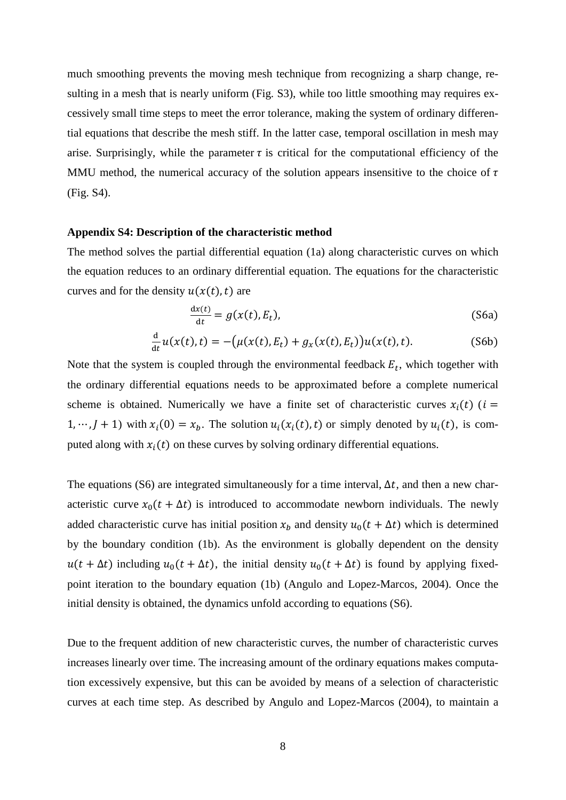much smoothing prevents the moving mesh technique from recognizing a sharp change, resulting in a mesh that is nearly uniform (Fig. S3), while too little smoothing may requires excessively small time steps to meet the error tolerance, making the system of ordinary differential equations that describe the mesh stiff. In the latter case, temporal oscillation in mesh may arise. Surprisingly, while the parameter  $\tau$  is critical for the computational efficiency of the MMU method, the numerical accuracy of the solution appears insensitive to the choice of  $\tau$ (Fig. S4).

#### **Appendix S4: Description of the characteristic method**

The method solves the partial differential equation (1a) along characteristic curves on which the equation reduces to an ordinary differential equation. The equations for the characteristic curves and for the density  $u(x(t), t)$  are

$$
\frac{dx(t)}{dt} = g(x(t), E_t),
$$
\n(S6a)

$$
\frac{d}{dt}u(x(t),t) = -(\mu(x(t),E_t) + g_x(x(t),E_t))u(x(t),t).
$$
 (S6b)

Note that the system is coupled through the environmental feedback  $E_t$ , which together with the ordinary differential equations needs to be approximated before a complete numerical scheme is obtained. Numerically we have a finite set of characteristic curves  $x_i(t)$  ( $i =$  $1, \dots, J + 1$ ) with  $x_i(0) = x_b$ . The solution  $u_i(x_i(t), t)$  or simply denoted by  $u_i(t)$ , is computed along with  $x_i(t)$  on these curves by solving ordinary differential equations.

The equations (S6) are integrated simultaneously for a time interval,  $\Delta t$ , and then a new characteristic curve  $x_0(t + \Delta t)$  is introduced to accommodate newborn individuals. The newly added characteristic curve has initial position  $x_h$  and density  $u_0(t + \Delta t)$  which is determined by the boundary condition (1b). As the environment is globally dependent on the density  $u(t + \Delta t)$  including  $u_0(t + \Delta t)$ , the initial density  $u_0(t + \Delta t)$  is found by applying fixedpoint iteration to the boundary equation (1b) (Angulo and Lopez-Marcos, 2004). Once the initial density is obtained, the dynamics unfold according to equations (S6).

Due to the frequent addition of new characteristic curves, the number of characteristic curves increases linearly over time. The increasing amount of the ordinary equations makes computation excessively expensive, but this can be avoided by means of a selection of characteristic curves at each time step. As described by Angulo and Lopez-Marcos (2004), to maintain a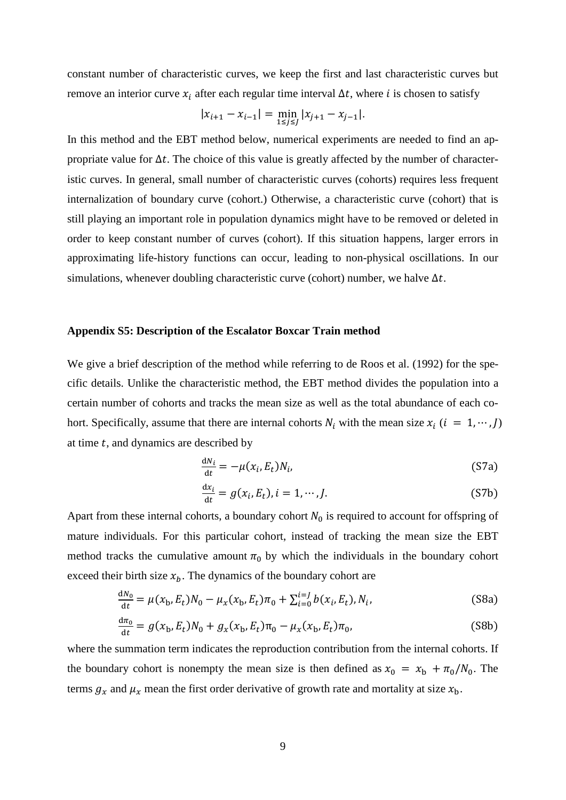constant number of characteristic curves, we keep the first and last characteristic curves but remove an interior curve  $x_i$  after each regular time interval  $\Delta t$ , where *i* is chosen to satisfy

$$
|x_{i+1} - x_{i-1}| = \min_{1 \le j \le J} |x_{j+1} - x_{j-1}|.
$$

In this method and the EBT method below, numerical experiments are needed to find an appropriate value for  $\Delta t$ . The choice of this value is greatly affected by the number of characteristic curves. In general, small number of characteristic curves (cohorts) requires less frequent internalization of boundary curve (cohort.) Otherwise, a characteristic curve (cohort) that is still playing an important role in population dynamics might have to be removed or deleted in order to keep constant number of curves (cohort). If this situation happens, larger errors in approximating life-history functions can occur, leading to non-physical oscillations. In our simulations, whenever doubling characteristic curve (cohort) number, we halve  $\Delta t$ .

### **Appendix S5: Description of the Escalator Boxcar Train method**

We give a brief description of the method while referring to de Roos et al. (1992) for the specific details. Unlike the characteristic method, the EBT method divides the population into a certain number of cohorts and tracks the mean size as well as the total abundance of each cohort. Specifically, assume that there are internal cohorts  $N_i$  with the mean size  $x_i$  ( $i = 1, \dots, J$ ) at time  $t$ , and dynamics are described by

$$
\frac{dN_i}{dt} = -\mu(x_i, E_t)N_i, \tag{S7a}
$$

$$
\frac{dx_i}{dt} = g(x_i, E_t), i = 1, \cdots, J.
$$
 (S7b)

Apart from these internal cohorts, a boundary cohort  $N_0$  is required to account for offspring of mature individuals. For this particular cohort, instead of tracking the mean size the EBT method tracks the cumulative amount  $\pi_0$  by which the individuals in the boundary cohort exceed their birth size  $x<sub>b</sub>$ . The dynamics of the boundary cohort are

$$
\frac{dN_0}{dt} = \mu(x_b, E_t)N_0 - \mu_x(x_b, E_t)\pi_0 + \sum_{i=0}^{i=J} b(x_i, E_t), N_i,
$$
\n(S8a)

$$
\frac{d\pi_0}{dt} = g(x_b, E_t)N_0 + g_x(x_b, E_t)\pi_0 - \mu_x(x_b, E_t)\pi_0,
$$
\n(S8b)

where the summation term indicates the reproduction contribution from the internal cohorts. If the boundary cohort is nonempty the mean size is then defined as  $x_0 = x_b + \pi_0/N_0$ . The terms  $g_x$  and  $\mu_x$  mean the first order derivative of growth rate and mortality at size  $x_b$ .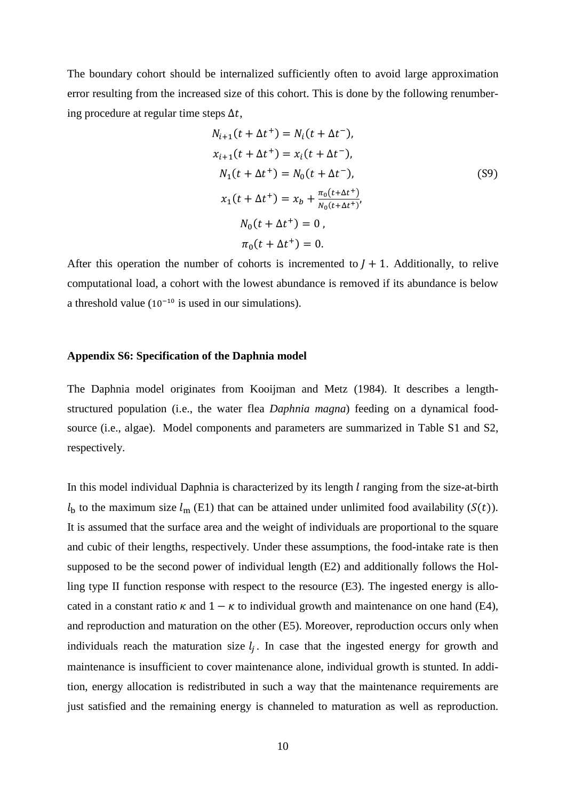The boundary cohort should be internalized sufficiently often to avoid large approximation error resulting from the increased size of this cohort. This is done by the following renumbering procedure at regular time steps  $\Delta t$ ,

$$
N_{i+1}(t + \Delta t^{+}) = N_{i}(t + \Delta t^{-}),
$$
  
\n
$$
x_{i+1}(t + \Delta t^{+}) = x_{i}(t + \Delta t^{-}),
$$
  
\n
$$
N_{1}(t + \Delta t^{+}) = N_{0}(t + \Delta t^{-}),
$$
  
\n
$$
x_{1}(t + \Delta t^{+}) = x_{b} + \frac{\pi_{0}(t + \Delta t^{+})}{N_{0}(t + \Delta t^{+})},
$$
  
\n
$$
N_{0}(t + \Delta t^{+}) = 0,
$$
  
\n
$$
\pi_{0}(t + \Delta t^{+}) = 0.
$$
 (S9)

After this operation the number of cohorts is incremented to  $I + 1$ . Additionally, to relive computational load, a cohort with the lowest abundance is removed if its abundance is below a threshold value  $(10^{-10}$  is used in our simulations).

### **Appendix S6: Specification of the Daphnia model**

The Daphnia model originates from Kooijman and Metz (1984). It describes a lengthstructured population (i.e., the water flea *Daphnia magna*) feeding on a dynamical foodsource (i.e., algae). Model components and parameters are summarized in Table S1 and S2, respectively.

In this model individual Daphnia is characterized by its length  $l$  ranging from the size-at-birth  $l_{\rm b}$  to the maximum size  $l_{\rm m}$  (E1) that can be attained under unlimited food availability (S(t)). It is assumed that the surface area and the weight of individuals are proportional to the square and cubic of their lengths, respectively. Under these assumptions, the food-intake rate is then supposed to be the second power of individual length (E2) and additionally follows the Holling type II function response with respect to the resource (E3). The ingested energy is allocated in a constant ratio  $\kappa$  and  $1 - \kappa$  to individual growth and maintenance on one hand (E4), and reproduction and maturation on the other (E5). Moreover, reproduction occurs only when individuals reach the maturation size  $l_i$ . In case that the ingested energy for growth and maintenance is insufficient to cover maintenance alone, individual growth is stunted. In addition, energy allocation is redistributed in such a way that the maintenance requirements are just satisfied and the remaining energy is channeled to maturation as well as reproduction.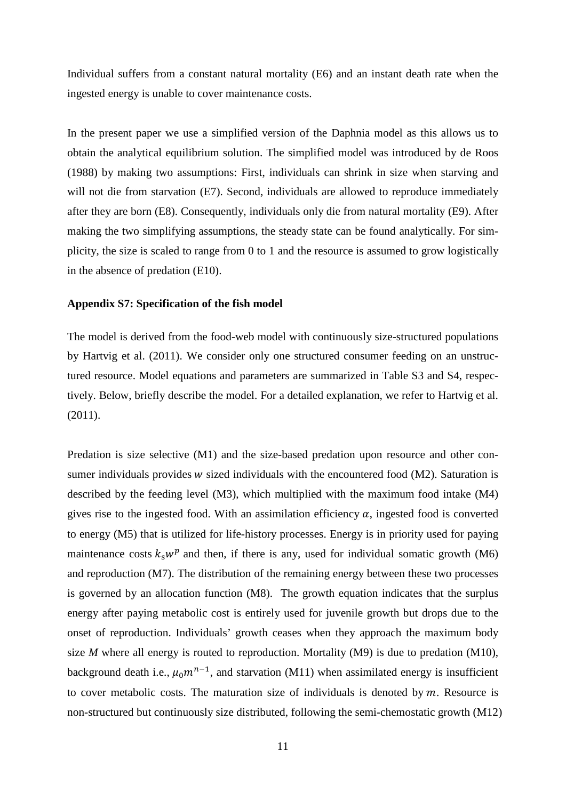Individual suffers from a constant natural mortality (E6) and an instant death rate when the ingested energy is unable to cover maintenance costs.

In the present paper we use a simplified version of the Daphnia model as this allows us to obtain the analytical equilibrium solution. The simplified model was introduced by de Roos (1988) by making two assumptions: First, individuals can shrink in size when starving and will not die from starvation (E7). Second, individuals are allowed to reproduce immediately after they are born (E8). Consequently, individuals only die from natural mortality (E9). After making the two simplifying assumptions, the steady state can be found analytically. For simplicity, the size is scaled to range from 0 to 1 and the resource is assumed to grow logistically in the absence of predation (E10).

### **Appendix S7: Specification of the fish model**

The model is derived from the food-web model with continuously size-structured populations by Hartvig et al. (2011). We consider only one structured consumer feeding on an unstructured resource. Model equations and parameters are summarized in Table S3 and S4, respectively. Below, briefly describe the model. For a detailed explanation, we refer to Hartvig et al. (2011).

Predation is size selective (M1) and the size-based predation upon resource and other consumer individuals provides  $w$  sized individuals with the encountered food (M2). Saturation is described by the feeding level (M3), which multiplied with the maximum food intake (M4) gives rise to the ingested food. With an assimilation efficiency  $\alpha$ , ingested food is converted to energy (M5) that is utilized for life-history processes. Energy is in priority used for paying maintenance costs  $k_s w^p$  and then, if there is any, used for individual somatic growth (M6) and reproduction (M7). The distribution of the remaining energy between these two processes is governed by an allocation function (M8). The growth equation indicates that the surplus energy after paying metabolic cost is entirely used for juvenile growth but drops due to the onset of reproduction. Individuals' growth ceases when they approach the maximum body size *M* where all energy is routed to reproduction. Mortality (M9) is due to predation (M10), background death i.e.,  $\mu_0 m^{n-1}$ , and starvation (M11) when assimilated energy is insufficient to cover metabolic costs. The maturation size of individuals is denoted by  $m$ . Resource is non-structured but continuously size distributed, following the semi-chemostatic growth (M12)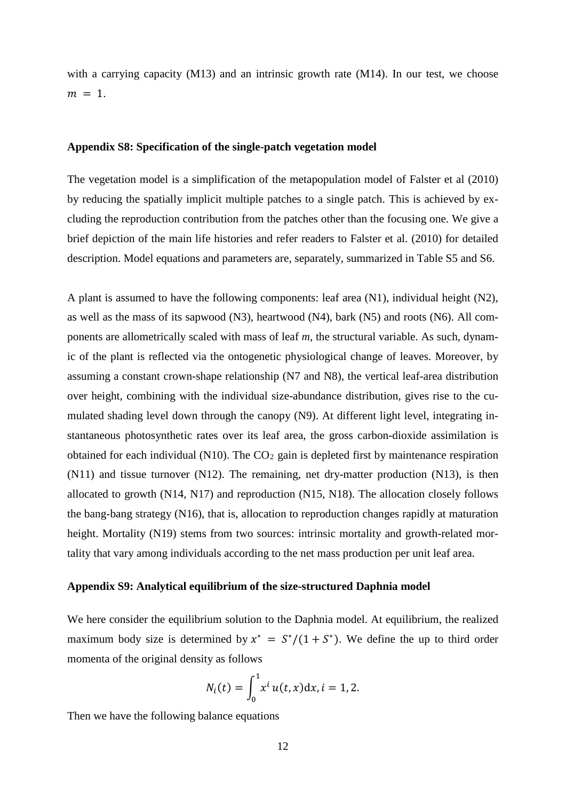with a carrying capacity (M13) and an intrinsic growth rate (M14). In our test, we choose  $m = 1$ .

### **Appendix S8: Specification of the single-patch vegetation model**

The vegetation model is a simplification of the metapopulation model of Falster et al (2010) by reducing the spatially implicit multiple patches to a single patch. This is achieved by excluding the reproduction contribution from the patches other than the focusing one. We give a brief depiction of the main life histories and refer readers to Falster et al. (2010) for detailed description. Model equations and parameters are, separately, summarized in Table S5 and S6.

A plant is assumed to have the following components: leaf area  $(N1)$ , individual height  $(N2)$ , as well as the mass of its sapwood (N3), heartwood (N4), bark (N5) and roots (N6). All components are allometrically scaled with mass of leaf *m*, the structural variable. As such, dynamic of the plant is reflected via the ontogenetic physiological change of leaves. Moreover, by assuming a constant crown-shape relationship (N7 and N8), the vertical leaf-area distribution over height, combining with the individual size-abundance distribution, gives rise to the cumulated shading level down through the canopy (N9). At different light level, integrating instantaneous photosynthetic rates over its leaf area, the gross carbon-dioxide assimilation is obtained for each individual (N10). The  $CO<sub>2</sub>$  gain is depleted first by maintenance respiration (N11) and tissue turnover (N12). The remaining, net dry-matter production (N13), is then allocated to growth (N14, N17) and reproduction (N15, N18). The allocation closely follows the bang-bang strategy (N16), that is, allocation to reproduction changes rapidly at maturation height. Mortality (N19) stems from two sources: intrinsic mortality and growth-related mortality that vary among individuals according to the net mass production per unit leaf area.

#### **Appendix S9: Analytical equilibrium of the size-structured Daphnia model**

We here consider the equilibrium solution to the Daphnia model. At equilibrium, the realized maximum body size is determined by  $x^* = S^*/(1+S^*)$ . We define the up to third order momenta of the original density as follows

$$
N_i(t) = \int_0^1 x^i u(t, x) dx, i = 1, 2.
$$

Then we have the following balance equations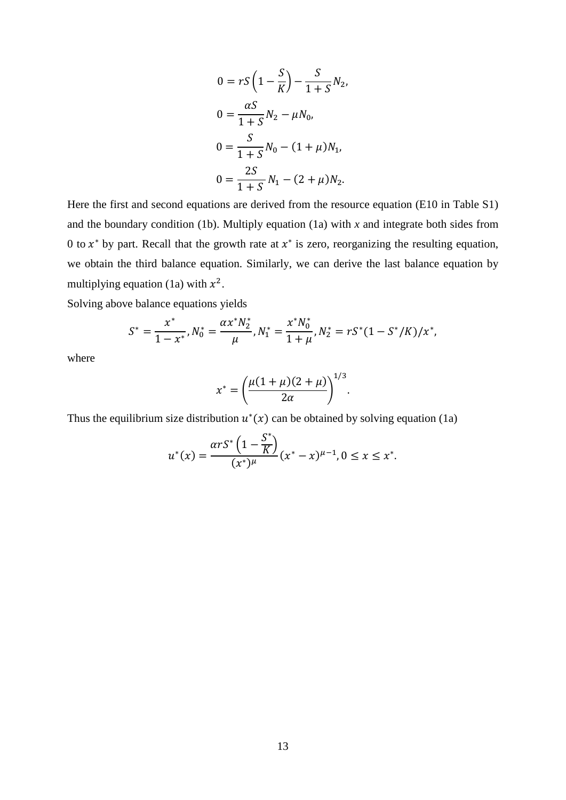$$
0 = rS\left(1 - \frac{S}{K}\right) - \frac{S}{1 + S}N_2,
$$
  
\n
$$
0 = \frac{\alpha S}{1 + S}N_2 - \mu N_0,
$$
  
\n
$$
0 = \frac{S}{1 + S}N_0 - (1 + \mu)N_1,
$$
  
\n
$$
0 = \frac{2S}{1 + S}N_1 - (2 + \mu)N_2.
$$

Here the first and second equations are derived from the resource equation (E10 in Table S1) and the boundary condition (1b). Multiply equation (1a) with  $x$  and integrate both sides from 0 to  $x^*$  by part. Recall that the growth rate at  $x^*$  is zero, reorganizing the resulting equation, we obtain the third balance equation. Similarly, we can derive the last balance equation by multiplying equation (1a) with  $x^2$ .

Solving above balance equations yields

$$
S^* = \frac{x^*}{1 - x^*}, N_0^* = \frac{\alpha x^* N_2^*}{\mu}, N_1^* = \frac{x^* N_0^*}{1 + \mu}, N_2^* = rS^*(1 - S^*/K)/x^*,
$$

where

$$
x^* = \left(\frac{\mu(1+\mu)(2+\mu)}{2\alpha}\right)^{1/3}.
$$

Thus the equilibrium size distribution  $u^*(x)$  can be obtained by solving equation (1a)

$$
u^{*}(x) = \frac{\alpha r S^{*} \left(1 - \frac{S^{*}}{K}\right)}{(x^{*})^{\mu}} (x^{*} - x)^{\mu - 1}, 0 \le x \le x^{*}.
$$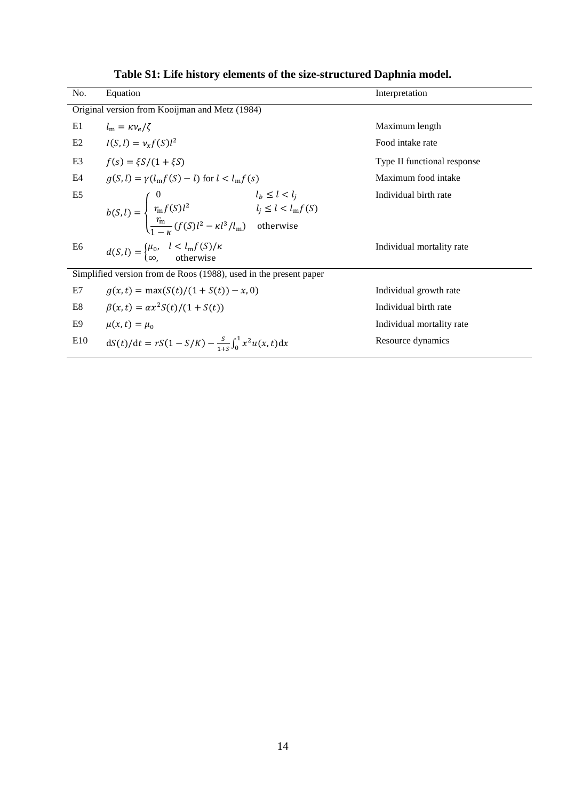| No.            | Equation                                                                                                                                                                                       | Interpretation              |  |  |  |  |  |  |
|----------------|------------------------------------------------------------------------------------------------------------------------------------------------------------------------------------------------|-----------------------------|--|--|--|--|--|--|
|                | Original version from Kooijman and Metz (1984)                                                                                                                                                 |                             |  |  |  |  |  |  |
| E1             | $l_m = \kappa v_a/\zeta$                                                                                                                                                                       | Maximum length              |  |  |  |  |  |  |
| E2             | $I(S, l) = v_r f(S) l^2$                                                                                                                                                                       | Food intake rate            |  |  |  |  |  |  |
| E <sub>3</sub> | $f(s) = \xi S/(1 + \xi S)$                                                                                                                                                                     | Type II functional response |  |  |  |  |  |  |
| E4             | $q(S, l) = \gamma(l_m f(S) - l)$ for $l < l_m f(s)$                                                                                                                                            | Maximum food intake         |  |  |  |  |  |  |
| E <sub>5</sub> | $b(S, l) = \begin{cases} 0 & l_b \le l < l_j \\ \frac{r_m f(S) l^2}{1 - \kappa} & l_j \le l < l_m f(S) \\ \frac{r_m}{1 - \kappa} (f(S) l^2 - \kappa l^3 / l_m) & \text{otherwise} \end{cases}$ | Individual birth rate       |  |  |  |  |  |  |
| E6             | $d(S,l) = \begin{cases} \mu_0, & l < l_m f(S)/\kappa \\ \infty, & \text{otherwise} \end{cases}$                                                                                                | Individual mortality rate   |  |  |  |  |  |  |
|                | Simplified version from de Roos (1988), used in the present paper                                                                                                                              |                             |  |  |  |  |  |  |
| E7             | $q(x,t) = \max(S(t)/(1 + S(t)) - x, 0)$                                                                                                                                                        | Individual growth rate      |  |  |  |  |  |  |
| E8             | $\beta(x,t) = \alpha x^2 S(t)/(1 + S(t))$                                                                                                                                                      | Individual birth rate       |  |  |  |  |  |  |
| E9             | $\mu(x,t) = \mu_0$                                                                                                                                                                             | Individual mortality rate   |  |  |  |  |  |  |
| E10            | $dS(t)/dt = rS(1-S/K) - \frac{S}{1+S}\int_0^1 x^2 u(x,t)dx$                                                                                                                                    | Resource dynamics           |  |  |  |  |  |  |

**Table S1: Life history elements of the size-structured Daphnia model.**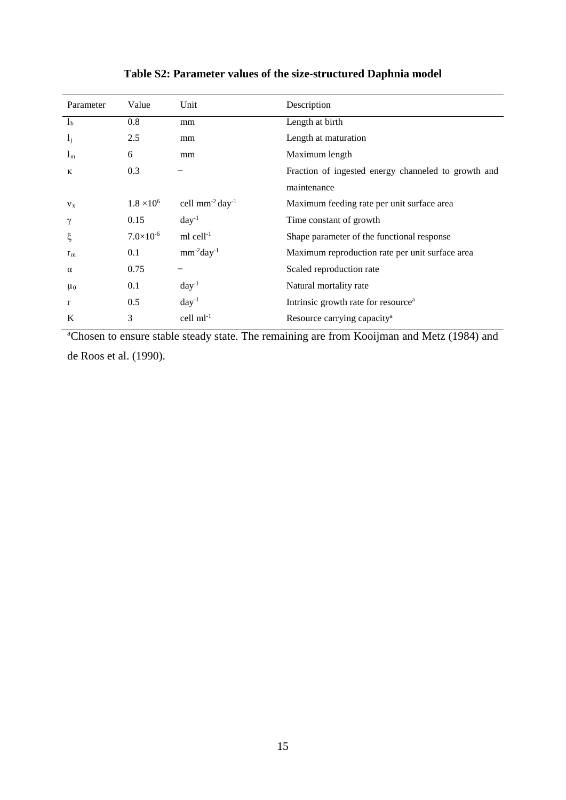| Parameter      | Value               | Unit                             | Description                                         |
|----------------|---------------------|----------------------------------|-----------------------------------------------------|
| l <sub>b</sub> | 0.8                 | mm                               | Length at birth                                     |
| $l_j$          | 2.5                 | mm                               | Length at maturation                                |
| 1 <sub>m</sub> | 6                   | mm                               | Maximum length                                      |
| К              | 0.3                 |                                  | Fraction of ingested energy channeled to growth and |
|                |                     |                                  | maintenance                                         |
| $v_{x}$        | $1.8 \times 10^{6}$ | cell $mm^{-2}$ day <sup>-1</sup> | Maximum feeding rate per unit surface area          |
| γ              | 0.15                | $day^{-1}$                       | Time constant of growth                             |
| ξ              | $7.0\times10^{-6}$  | $ml$ cell $^{-1}$                | Shape parameter of the functional response          |
| r <sub>m</sub> | 0.1                 | $mm^{-2}day^{-1}$                | Maximum reproduction rate per unit surface area     |
| $\alpha$       | 0.75                |                                  | Scaled reproduction rate                            |
| $\mu_0$        | 0.1                 | $day^{-1}$                       | Natural mortality rate                              |
| r              | 0.5                 | $day^{-1}$                       | Intrinsic growth rate for resource <sup>a</sup>     |
| K              | 3                   | cell $ml^{-1}$                   | Resource carrying capacity <sup>a</sup>             |

### **Table S2: Parameter values of the size-structured Daphnia model**

<sup>a</sup>Chosen to ensure stable steady state. The remaining are from Kooijman and Metz (1984) and de Roos et al. (1990).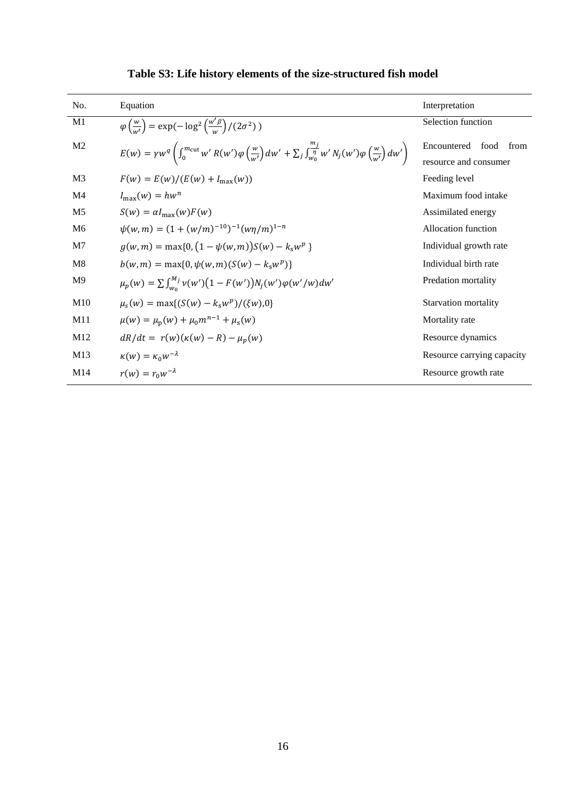| No.             | Equation                                                                                                                                                                                              | Interpretation              |  |  |
|-----------------|-------------------------------------------------------------------------------------------------------------------------------------------------------------------------------------------------------|-----------------------------|--|--|
| M1              | $\varphi\left(\frac{w}{w'}\right) = \exp(-\log^2\left(\frac{w'\beta}{w}\right)/(2\sigma^2))$                                                                                                          | Selection function          |  |  |
| M <sub>2</sub>  | $E(w) = \gamma w^q \left( \int_0^{m_{\text{cut}}} w' R(w') \varphi \left( \frac{w}{w'} \right) dw' + \sum_j \int_{w_0}^{\frac{m_j}{\eta}} w' N_j(w') \varphi \left( \frac{w}{w'} \right) dw' \right)$ | Encountered<br>food<br>from |  |  |
|                 |                                                                                                                                                                                                       | resource and consumer       |  |  |
| M <sub>3</sub>  | $F(w) = E(w)/(E(w) + I_{\text{max}}(w))$                                                                                                                                                              | Feeding level               |  |  |
| M <sub>4</sub>  | $I_{\max}(w) = hw^n$                                                                                                                                                                                  | Maximum food intake         |  |  |
| M <sub>5</sub>  | $S(w) = \alpha I_{\text{max}}(w) F(w)$                                                                                                                                                                | Assimilated energy          |  |  |
| M <sub>6</sub>  | $\psi(w,m) = (1 + (w/m)^{-10})^{-1} (w\eta/m)^{1-n}$                                                                                                                                                  | Allocation function         |  |  |
| M <sub>7</sub>  | $g(w,m) = \max\{0, (1 - \psi(w,m))S(w) - k_s w^p\}$                                                                                                                                                   | Individual growth rate      |  |  |
| M8              | $b(w, m) = \max\{0, \psi(w, m)(S(w) - k_s w^p)\}\$                                                                                                                                                    | Individual birth rate       |  |  |
| M <sup>9</sup>  | $\mu_p(w) = \sum \int_{w_0}^{M_j} v(w') (1 - F(w')) N_j(w') \varphi(w'/w) dw'$                                                                                                                        | Predation mortality         |  |  |
| M10             | $\mu_{s}(w) = \max\{(S(w) - k_{s}w^{p})/(\xi w)0\}$                                                                                                                                                   | <b>Starvation mortality</b> |  |  |
| M11             | $\mu(w) = \mu_{\rm p}(w) + \mu_0 m^{n-1} + \mu_{\rm s}(w)$                                                                                                                                            | Mortality rate              |  |  |
| M12             | $dR/dt = r(w)(\kappa(w) - R) - \mu_n(w)$                                                                                                                                                              | Resource dynamics           |  |  |
| M13             | $\kappa(w) = \kappa_0 w^{-\lambda}$                                                                                                                                                                   | Resource carrying capacity  |  |  |
| M <sub>14</sub> | $r(w) = r_0 w^{-\lambda}$                                                                                                                                                                             | Resource growth rate        |  |  |

# **Table S3: Life history elements of the size-structured fish model**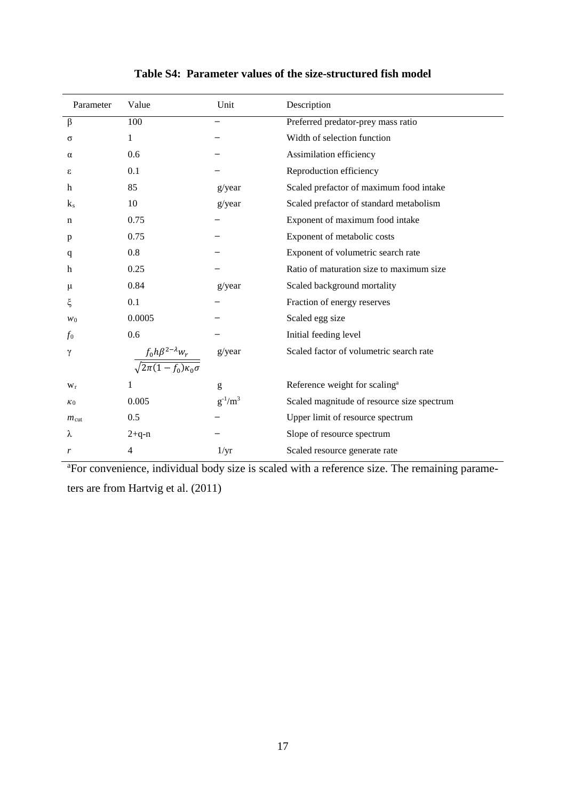| Parameter        | Value                                                               | Unit          | Description                                |
|------------------|---------------------------------------------------------------------|---------------|--------------------------------------------|
| $\beta$          | 100                                                                 |               | Preferred predator-prey mass ratio         |
| σ                | 1                                                                   |               | Width of selection function                |
| α                | 0.6                                                                 |               | Assimilation efficiency                    |
| ε                | 0.1                                                                 |               | Reproduction efficiency                    |
| h                | 85                                                                  | g/year        | Scaled prefactor of maximum food intake    |
| $k_{s}$          | 10                                                                  | g/year        | Scaled prefactor of standard metabolism    |
| n                | 0.75                                                                |               | Exponent of maximum food intake            |
| p                | 0.75                                                                |               | Exponent of metabolic costs                |
| q                | 0.8                                                                 |               | Exponent of volumetric search rate         |
| h                | 0.25                                                                |               | Ratio of maturation size to maximum size   |
| μ                | 0.84                                                                | g/year        | Scaled background mortality                |
| ξ                | 0.1                                                                 |               | Fraction of energy reserves                |
| W <sub>0</sub>   | 0.0005                                                              |               | Scaled egg size                            |
| f <sub>0</sub>   | 0.6                                                                 |               | Initial feeding level                      |
| γ                |                                                                     | g/year        | Scaled factor of volumetric search rate    |
|                  | $\frac{f_0h\beta^{2-\lambda}w_r}{\sqrt{2\pi(1-f_0)\kappa_0\sigma}}$ |               |                                            |
| $W_r$            | 1                                                                   | g             | Reference weight for scaling <sup>a</sup>  |
| $\kappa_0$       | 0.005                                                               | $g^{-1}/m^3$  | Scaled magnitude of resource size spectrum |
| $m_{\text{cut}}$ | 0.5                                                                 |               | Upper limit of resource spectrum           |
| λ                | $2 + q - n$                                                         |               | Slope of resource spectrum                 |
| r                | 4                                                                   | $1/\text{yr}$ | Scaled resource generate rate              |

### **Table S4: Parameter values of the size-structured fish model**

<sup>a</sup>For convenience, individual body size is scaled with a reference size. The remaining parameters are from Hartvig et al. (2011)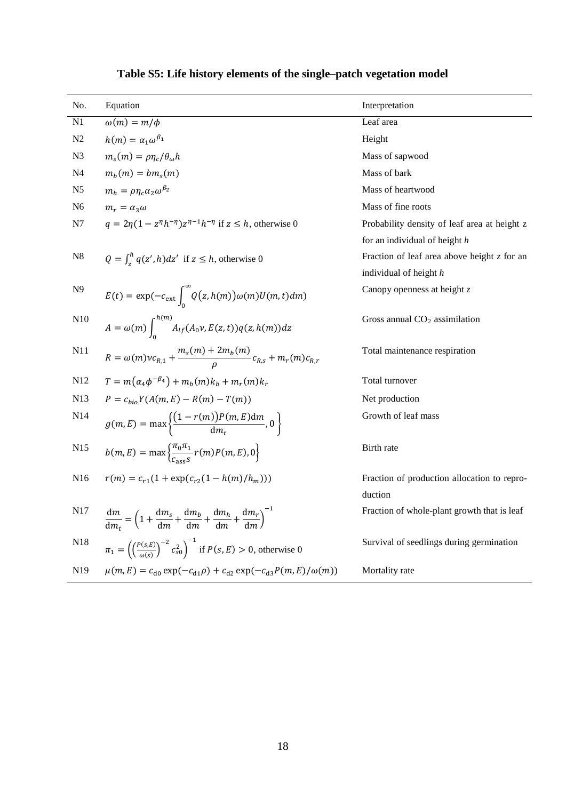| No.            | Equation                                                                                                            | Interpretation                                |
|----------------|---------------------------------------------------------------------------------------------------------------------|-----------------------------------------------|
| N1             | $\omega(m) = m/\phi$                                                                                                | Leaf area                                     |
| N2             | $h(m) = \alpha_1 \omega^{\beta_1}$                                                                                  | Height                                        |
| N <sub>3</sub> | $m_s(m) = \rho \eta_c/\theta_o h$                                                                                   | Mass of sapwood                               |
| N <sub>4</sub> | $m_h(m) = bm_s(m)$                                                                                                  | Mass of bark                                  |
| N <sub>5</sub> | $m_h = \rho \eta_c \alpha_2 \omega^{\beta_2}$                                                                       | Mass of heartwood                             |
| N <sub>6</sub> | $m_r = \alpha_3 \omega$                                                                                             | Mass of fine roots                            |
| N7             | $q = 2\eta(1 - z^{\eta}h^{-\eta})z^{\eta-1}h^{-\eta}$ if $z \leq h$ , otherwise 0                                   | Probability density of leaf area at height z  |
|                |                                                                                                                     | for an individual of height $h$               |
| ${\bf N8}$     | $Q = \int_{\tau}^{h} q(z', h) dz'$ if $z \leq h$ , otherwise 0                                                      | Fraction of leaf area above height $z$ for an |
|                |                                                                                                                     | individual of height h                        |
| N <sub>9</sub> | $E(t) = \exp(-c_{\text{ext}} \int_{-\infty}^{\infty} Q(z, h(m)) \omega(m) U(m, t) dm)$                              | Canopy openness at height $z$                 |
| N10            | $A = \omega(m) \int_0^{h(m)} A_{lf}(A_0 \nu, E(z, t)) q(z, h(m)) dz$                                                | Gross annual $CO2$ assimilation               |
| N11            | $R = \omega(m)v_{R,1} + \frac{m_s(m) + 2m_b(m)}{g}c_{R,s} + m_r(m)c_{R,r}$                                          | Total maintenance respiration                 |
| N12            | $T = m(\alpha_4 \phi^{-\beta_4}) + m_h(m)k_h + m_r(m)k_r$                                                           | Total turnover                                |
| N13            | $P = c_{hi} Y(A(m, E) - R(m) - T(m))$                                                                               | Net production                                |
| N14            | $g(m,E) = \max \left\{ \frac{\left(1 - r(m)\right)P(m,E)dm}{dm}, 0 \right\}$                                        | Growth of leaf mass                           |
| N15            | $b(m, E) = \max \left\{ \frac{\pi_0 \pi_1}{c} r(m) P(m, E), 0 \right\}$                                             | Birth rate                                    |
| N16            | $r(m) = c_{r1}(1 + \exp(c_{r2}(1 - h(m)/h_m)))$                                                                     | Fraction of production allocation to repro-   |
|                |                                                                                                                     | duction                                       |
| N17            | $\frac{dm}{dm} = \left(1 + \frac{dm_s}{dm} + \frac{dm_b}{dm} + \frac{dm_h}{dm} + \frac{dm_r}{dm}\right)^{-1}$       | Fraction of whole-plant growth that is leaf   |
| N18            | $\pi_1 = \left( \left( \frac{P(s, E)}{\omega(s)} \right)^{-2} c_{s0}^2 \right)^{-1}$ if $P(s, E) > 0$ , otherwise 0 | Survival of seedlings during germination      |
| N19            | $\mu(m, E) = c_{d0} \exp(-c_{d1}\rho) + c_{d2} \exp(-c_{d3}P(m, E)/\omega(m))$                                      | Mortality rate                                |

# **Table S5: Life history elements of the single–patch vegetation model**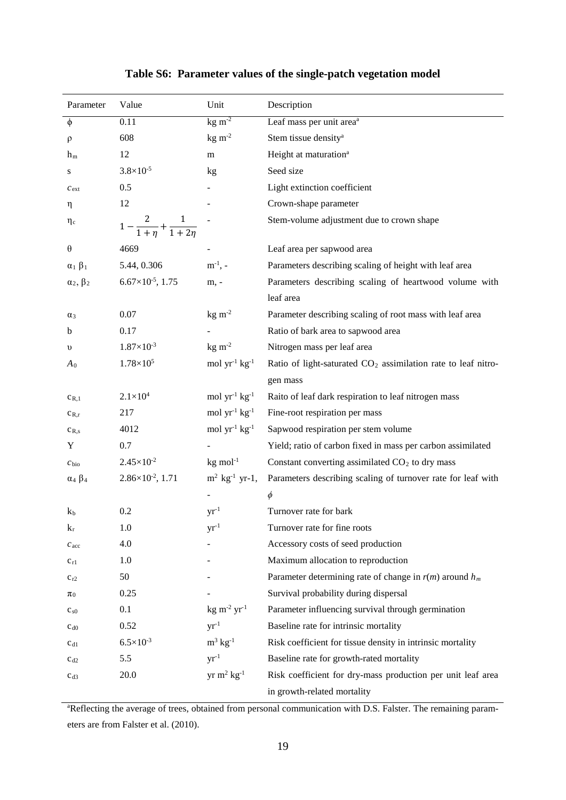| Parameter           | Value                                | Unit                                | Description                                                               |
|---------------------|--------------------------------------|-------------------------------------|---------------------------------------------------------------------------|
| φ                   | 0.11                                 | $\text{kg m}^2$                     | Leaf mass per unit area <sup>a</sup>                                      |
| $\rho$              | 608                                  | $\text{kg} \; \text{m}^{\text{-2}}$ | Stem tissue density <sup>a</sup>                                          |
| $h_m$               | 12                                   | m                                   | Height at maturation <sup>a</sup>                                         |
| S                   | $3.8 \times 10^{-5}$                 | kg                                  | Seed size                                                                 |
| $c_{\text{ext}}$    | 0.5                                  |                                     | Light extinction coefficient                                              |
| η                   | 12                                   |                                     | Crown-shape parameter                                                     |
| $\eta_c$            | $1 - \frac{2}{1+n} + \frac{1}{1+2n}$ |                                     | Stem-volume adjustment due to crown shape                                 |
| θ                   | 4669                                 |                                     | Leaf area per sapwood area                                                |
| $\alpha_1 \beta_1$  | 5.44, 0.306                          | $m^{-1}$ , -                        | Parameters describing scaling of height with leaf area                    |
| $\alpha_2, \beta_2$ | $6.67\times10^{-5}$ , 1.75           | m, -                                | Parameters describing scaling of heartwood volume with                    |
|                     |                                      |                                     | leaf area                                                                 |
| $\alpha_3$          | 0.07                                 | $kg \, m-2$                         | Parameter describing scaling of root mass with leaf area                  |
| b                   | 0.17                                 |                                     | Ratio of bark area to sapwood area                                        |
| $\upsilon$          | $1.87\times10^{-3}$                  | $\text{kg m}^2$                     | Nitrogen mass per leaf area                                               |
| A <sub>0</sub>      | $1.78 \times 10^{5}$                 | mol $yr^{-1}$ $kg^{-1}$             | Ratio of light-saturated CO <sub>2</sub> assimilation rate to leaf nitro- |
|                     |                                      |                                     | gen mass                                                                  |
| $c_{R,1}$           | $2.1 \times 10^{4}$                  | mol $yr^{-1}$ $kg^{-1}$             | Raito of leaf dark respiration to leaf nitrogen mass                      |
| $C_{R,r}$           | 217                                  | mol $yr^{-1}$ kg <sup>-1</sup>      | Fine-root respiration per mass                                            |
| $c_{R,s}$           | 4012                                 | mol $yr^{-1}$ kg <sup>-1</sup>      | Sapwood respiration per stem volume                                       |
| Y                   | 0.7                                  |                                     | Yield; ratio of carbon fixed in mass per carbon assimilated               |
| $c_{\rm bio}$       | $2.45\times10^{-2}$                  | $kg \text{ mol}^{-1}$               | Constant converting assimilated $CO2$ to dry mass                         |
| $\alpha_4 \beta_4$  | $2.86\times10^{-2}$ , 1.71           | $m^2$ kg <sup>-1</sup> yr-1,        | Parameters describing scaling of turnover rate for leaf with              |
|                     |                                      |                                     | $\phi$                                                                    |
| $k_b$               | 0.2                                  | $yr^{-1}$                           | Turnover rate for bark                                                    |
| $k_r$               | 1.0                                  | $yr^{-1}$                           | Turnover rate for fine roots                                              |
| $c_{\rm acc}$       | 4.0                                  |                                     | Accessory costs of seed production                                        |
| $c_{r1}$            | 1.0                                  |                                     | Maximum allocation to reproduction                                        |
| $c_{r2}$            | 50                                   |                                     | Parameter determining rate of change in $r(m)$ around $h_m$               |
| $\pi_0$             | 0.25                                 |                                     | Survival probability during dispersal                                     |
| $c_{s0}$            | 0.1                                  | $kg \, m^{-2} \, yr^{-1}$           | Parameter influencing survival through germination                        |
| $c_{d0}$            | 0.52                                 | $yr^{-1}$                           | Baseline rate for intrinsic mortality                                     |
| $c_{d1}$            | $6.5 \times 10^{-3}$                 | $m^3$ kg <sup>-1</sup>              | Risk coefficient for tissue density in intrinsic mortality                |
| $c_{d2}$            | 5.5                                  | $yr^{-1}$                           | Baseline rate for growth-rated mortality                                  |
| $c_{d3}$            | 20.0                                 | yr m <sup>2</sup> $kg^{-1}$         | Risk coefficient for dry-mass production per unit leaf area               |
|                     |                                      |                                     | in growth-related mortality                                               |

### **Table S6: Parameter values of the single-patch vegetation model**

a Reflecting the average of trees, obtained from personal communication with D.S. Falster. The remaining parameters are from Falster et al. (2010).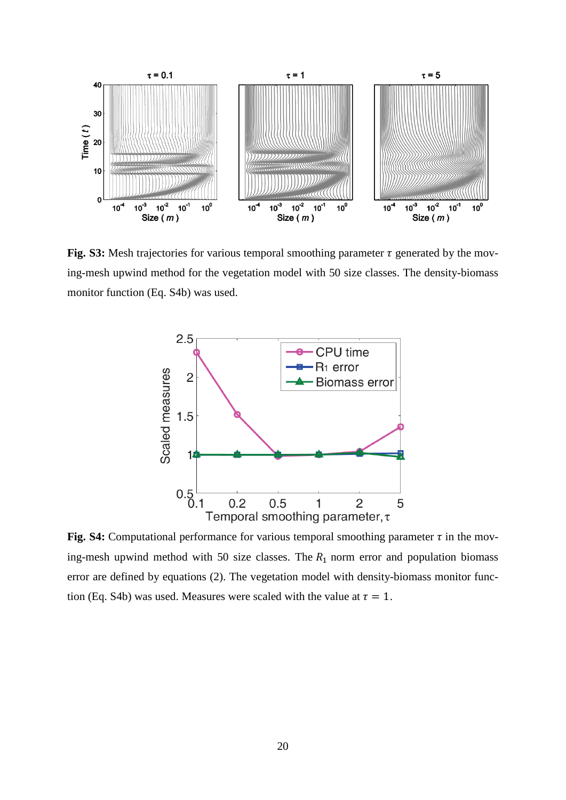

**Fig. S3:** Mesh trajectories for various temporal smoothing parameter  $\tau$  generated by the moving-mesh upwind method for the vegetation model with 50 size classes. The density-biomass monitor function (Eq. S4b) was used.



Fig. S4: Computational performance for various temporal smoothing parameter  $\tau$  in the moving-mesh upwind method with 50 size classes. The  $R_1$  norm error and population biomass error are defined by equations (2). The vegetation model with density-biomass monitor function (Eq. S4b) was used. Measures were scaled with the value at  $\tau = 1$ .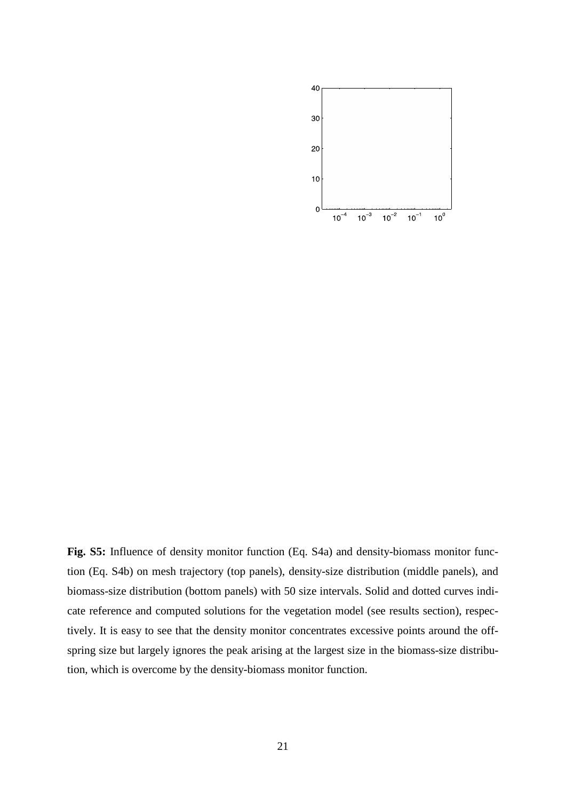

**Fig. S5:** Influence of density monitor function (Eq. S4a) and density-biomass monitor function (Eq. S4b) on mesh trajectory (top panels), density-size distribution (middle panels), and biomass-size distribution (bottom panels) with 50 size intervals. Solid and dotted curves indicate reference and computed solutions for the vegetation model (see results section), respectively. It is easy to see that the density monitor concentrates excessive points around the offspring size but largely ignores the peak arising at the largest size in the biomass-size distribution, which is overcome by the density-biomass monitor function.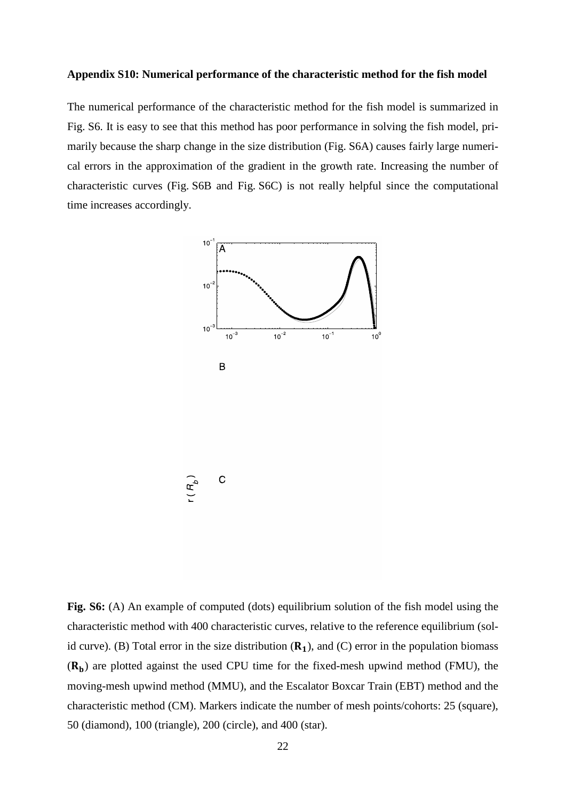### **Appendix S10: Numerical performance of the characteristic method for the fish model**

The numerical performance of the characteristic method for the fish model is summarized in Fig. S6. It is easy to see that this method has poor performance in solving the fish model, primarily because the sharp change in the size distribution (Fig. S6A) causes fairly large numerical errors in the approximation of the gradient in the growth rate. Increasing the number of characteristic curves (Fig. S6B and Fig. S6C) is not really helpful since the computational time increases accordingly.



**Fig. S6:** (A) An example of computed (dots) equilibrium solution of the fish model using the characteristic method with 400 characteristic curves, relative to the reference equilibrium (solid curve). (B) Total error in the size distribution  $(R_1)$ , and  $(C)$  error in the population biomass  $(R_b)$  are plotted against the used CPU time for the fixed-mesh upwind method (FMU), the moving-mesh upwind method (MMU), and the Escalator Boxcar Train (EBT) method and the characteristic method (CM). Markers indicate the number of mesh points/cohorts: 25 (square), 50 (diamond), 100 (triangle), 200 (circle), and 400 (star).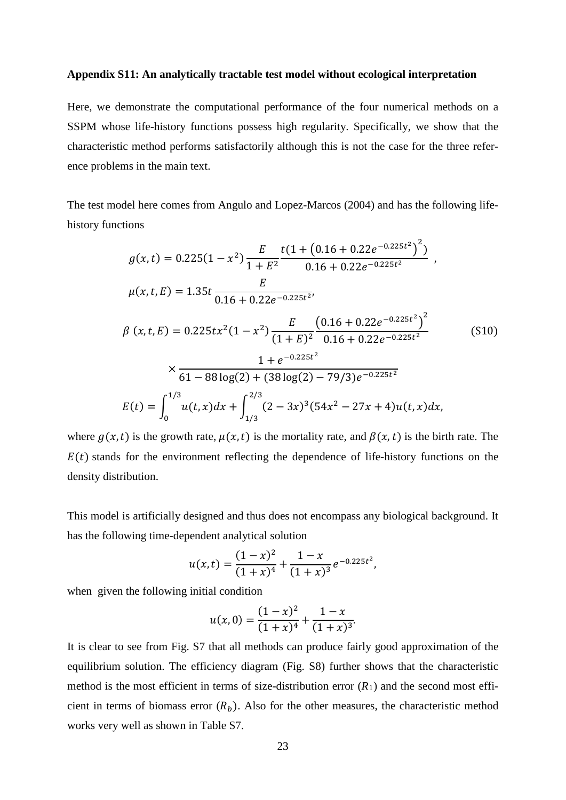### **Appendix S11: An analytically tractable test model without ecological interpretation**

Here, we demonstrate the computational performance of the four numerical methods on a SSPM whose life-history functions possess high regularity. Specifically, we show that the characteristic method performs satisfactorily although this is not the case for the three reference problems in the main text.

The test model here comes from Angulo and Lopez-Marcos (2004) and has the following lifehistory functions

$$
g(x,t) = 0.225(1 - x^2) \frac{E}{1 + E^2} \frac{t(1 + (0.16 + 0.22e^{-0.225t^2})^2)}{0.16 + 0.22e^{-0.225t^2}} ,
$$
  
\n
$$
\mu(x,t,E) = 1.35t \frac{E}{0.16 + 0.22e^{-0.225t^2}},
$$
  
\n
$$
\beta(x,t,E) = 0.225tx^2(1 - x^2) \frac{E}{(1 + E)^2} \frac{(0.16 + 0.22e^{-0.225t^2})^2}{0.16 + 0.22e^{-0.225t^2}} \times \frac{1 + e^{-0.225t^2}}{61 - 88 \log(2) + (38 \log(2) - 79/3)e^{-0.225t^2}}
$$
(S10)  
\n
$$
E(t) = \int_0^{1/3} u(t,x)dx + \int_{1/3}^{2/3} (2 - 3x)^3 (54x^2 - 27x + 4)u(t,x)dx,
$$

where  $g(x, t)$  is the growth rate,  $\mu(x, t)$  is the mortality rate, and  $\beta(x, t)$  is the birth rate. The  $E(t)$  stands for the environment reflecting the dependence of life-history functions on the density distribution.

This model is artificially designed and thus does not encompass any biological background. It has the following time-dependent analytical solution

$$
u(x,t) = \frac{(1-x)^2}{(1+x)^4} + \frac{1-x}{(1+x)^3}e^{-0.225t^2},
$$

when given the following initial condition

$$
u(x, 0) = \frac{(1-x)^2}{(1+x)^4} + \frac{1-x}{(1+x)^3}.
$$

It is clear to see from Fig. S7 that all methods can produce fairly good approximation of the equilibrium solution. The efficiency diagram (Fig. S8) further shows that the characteristic method is the most efficient in terms of size-distribution error  $(R_1)$  and the second most efficient in terms of biomass error  $(R_h)$ . Also for the other measures, the characteristic method works very well as shown in Table S7.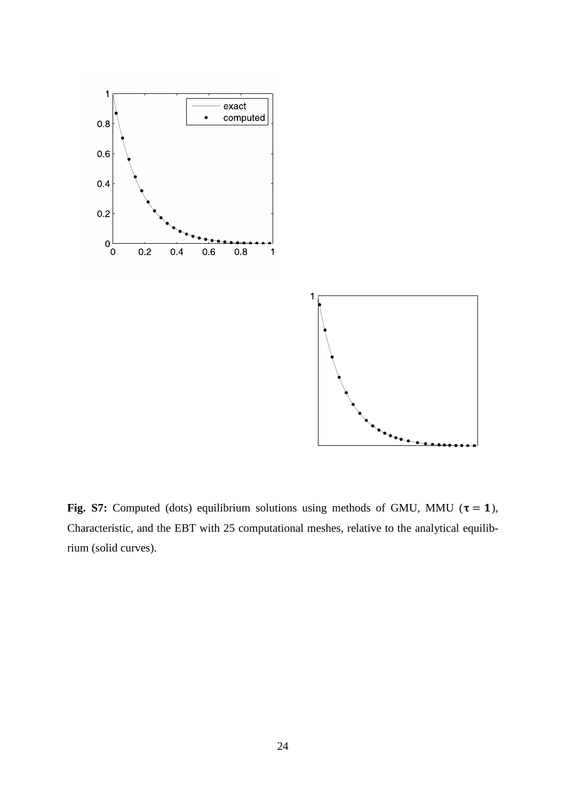



Fig. S7: Computed (dots) equilibrium solutions using methods of GMU, MMU ( $\tau = 1$ ), Characteristic, and the EBT with 25 computational meshes, relative to the analytical equilibrium (solid curves).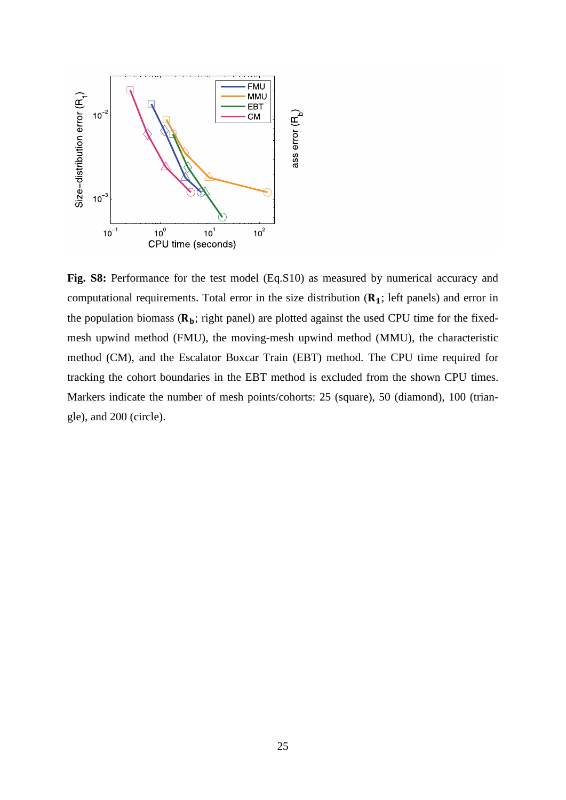

**Fig. S8:** Performance for the test model (Eq.S10) as measured by numerical accuracy and computational requirements. Total error in the size distribution  $(R_1;$  left panels) and error in the population biomass  $(R_b;$  right panel) are plotted against the used CPU time for the fixedmesh upwind method (FMU), the moving-mesh upwind method (MMU), the characteristic method (CM), and the Escalator Boxcar Train (EBT) method. The CPU time required for tracking the cohort boundaries in the EBT method is excluded from the shown CPU times. Markers indicate the number of mesh points/cohorts: 25 (square), 50 (diamond), 100 (triangle), and 200 (circle).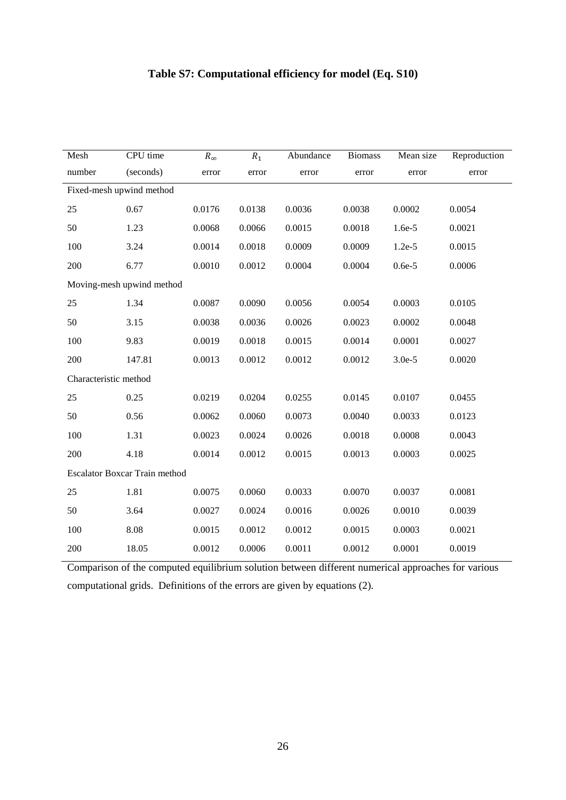## **Table S7: Computational efficiency for model (Eq. S10)**

| Mesh                     | CPU time                             | $R_{\infty}$ | $R_1$  | Abundance | <b>Biomass</b> | Mean size | Reproduction |
|--------------------------|--------------------------------------|--------------|--------|-----------|----------------|-----------|--------------|
| number                   | (seconds)                            | error        | error  | error     | error          | error     | error        |
| Fixed-mesh upwind method |                                      |              |        |           |                |           |              |
| 25                       | 0.67                                 | 0.0176       | 0.0138 | 0.0036    | 0.0038         | 0.0002    | 0.0054       |
| 50                       | 1.23                                 | 0.0068       | 0.0066 | 0.0015    | 0.0018         | 1.6e-5    | 0.0021       |
| 100                      | 3.24                                 | 0.0014       | 0.0018 | 0.0009    | 0.0009         | $1.2e-5$  | 0.0015       |
| 200                      | 6.77                                 | 0.0010       | 0.0012 | 0.0004    | 0.0004         | $0.6e-5$  | 0.0006       |
|                          | Moving-mesh upwind method            |              |        |           |                |           |              |
| 25                       | 1.34                                 | 0.0087       | 0.0090 | 0.0056    | 0.0054         | 0.0003    | 0.0105       |
| 50                       | 3.15                                 | 0.0038       | 0.0036 | 0.0026    | 0.0023         | 0.0002    | 0.0048       |
| 100                      | 9.83                                 | 0.0019       | 0.0018 | 0.0015    | 0.0014         | 0.0001    | 0.0027       |
| 200                      | 147.81                               | 0.0013       | 0.0012 | 0.0012    | 0.0012         | $3.0e-5$  | 0.0020       |
| Characteristic method    |                                      |              |        |           |                |           |              |
| 25                       | 0.25                                 | 0.0219       | 0.0204 | 0.0255    | 0.0145         | 0.0107    | 0.0455       |
| 50                       | 0.56                                 | 0.0062       | 0.0060 | 0.0073    | 0.0040         | 0.0033    | 0.0123       |
| 100                      | 1.31                                 | 0.0023       | 0.0024 | 0.0026    | 0.0018         | 0.0008    | 0.0043       |
| 200                      | 4.18                                 | 0.0014       | 0.0012 | 0.0015    | 0.0013         | 0.0003    | 0.0025       |
|                          | <b>Escalator Boxcar Train method</b> |              |        |           |                |           |              |
| 25                       | 1.81                                 | 0.0075       | 0.0060 | 0.0033    | 0.0070         | 0.0037    | 0.0081       |
| 50                       | 3.64                                 | 0.0027       | 0.0024 | 0.0016    | 0.0026         | 0.0010    | 0.0039       |
| 100                      | 8.08                                 | 0.0015       | 0.0012 | 0.0012    | 0.0015         | 0.0003    | 0.0021       |
| 200                      | 18.05                                | 0.0012       | 0.0006 | 0.0011    | 0.0012         | 0.0001    | 0.0019       |
|                          |                                      |              |        |           |                |           |              |

Comparison of the computed equilibrium solution between different numerical approaches for various computational grids. Definitions of the errors are given by equations (2).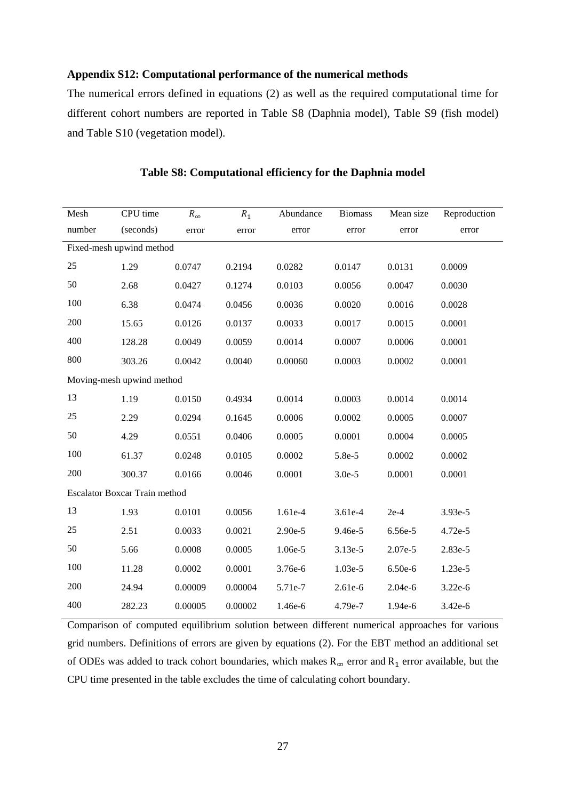### **Appendix S12: Computational performance of the numerical methods**

The numerical errors defined in equations (2) as well as the required computational time for different cohort numbers are reported in Table S8 (Daphnia model), Table S9 (fish model) and Table S10 (vegetation model).

| Mesh                     | CPU time                             | $R_{\infty}$ | $R_1$   | Abundance | <b>Biomass</b> | Mean size | Reproduction |  |  |
|--------------------------|--------------------------------------|--------------|---------|-----------|----------------|-----------|--------------|--|--|
| number                   | (seconds)                            | error        | error   | error     | error          | error     | error        |  |  |
| Fixed-mesh upwind method |                                      |              |         |           |                |           |              |  |  |
| 25                       | 1.29                                 | 0.0747       | 0.2194  | 0.0282    | 0.0147         | 0.0131    | 0.0009       |  |  |
| 50                       | 2.68                                 | 0.0427       | 0.1274  | 0.0103    | 0.0056         | 0.0047    | 0.0030       |  |  |
| 100                      | 6.38                                 | 0.0474       | 0.0456  | 0.0036    | 0.0020         | 0.0016    | 0.0028       |  |  |
| 200                      | 15.65                                | 0.0126       | 0.0137  | 0.0033    | 0.0017         | 0.0015    | 0.0001       |  |  |
| 400                      | 128.28                               | 0.0049       | 0.0059  | 0.0014    | 0.0007         | 0.0006    | 0.0001       |  |  |
| 800                      | 303.26                               | 0.0042       | 0.0040  | 0.00060   | 0.0003         | 0.0002    | 0.0001       |  |  |
|                          | Moving-mesh upwind method            |              |         |           |                |           |              |  |  |
| 13                       | 1.19                                 | 0.0150       | 0.4934  | 0.0014    | 0.0003         | 0.0014    | 0.0014       |  |  |
| 25                       | 2.29                                 | 0.0294       | 0.1645  | 0.0006    | 0.0002         | 0.0005    | 0.0007       |  |  |
| 50                       | 4.29                                 | 0.0551       | 0.0406  | 0.0005    | 0.0001         | 0.0004    | 0.0005       |  |  |
| 100                      | 61.37                                | 0.0248       | 0.0105  | 0.0002    | 5.8e-5         | 0.0002    | 0.0002       |  |  |
| 200                      | 300.37                               | 0.0166       | 0.0046  | 0.0001    | $3.0e-5$       | 0.0001    | 0.0001       |  |  |
|                          | <b>Escalator Boxcar Train method</b> |              |         |           |                |           |              |  |  |
| 13                       | 1.93                                 | 0.0101       | 0.0056  | 1.61e-4   | 3.61e-4        | $2e-4$    | 3.93e-5      |  |  |
| 25                       | 2.51                                 | 0.0033       | 0.0021  | 2.90e-5   | 9.46e-5        | 6.56e-5   | 4.72e-5      |  |  |
| 50                       | 5.66                                 | 0.0008       | 0.0005  | 1.06e-5   | 3.13e-5        | 2.07e-5   | 2.83e-5      |  |  |
| 100                      | 11.28                                | 0.0002       | 0.0001  | 3.76e-6   | 1.03e-5        | 6.50e-6   | 1.23e-5      |  |  |
| 200                      | 24.94                                | 0.00009      | 0.00004 | 5.71e-7   | 2.61e-6        | 2.04e-6   | 3.22e-6      |  |  |
| 400                      | 282.23                               | 0.00005      | 0.00002 | 1.46e-6   | 4.79e-7        | 1.94e-6   | 3.42e-6      |  |  |

### **Table S8: Computational efficiency for the Daphnia model**

Comparison of computed equilibrium solution between different numerical approaches for various grid numbers. Definitions of errors are given by equations (2). For the EBT method an additional set of ODEs was added to track cohort boundaries, which makes  $R_{\infty}$  error and  $R_1$  error available, but the CPU time presented in the table excludes the time of calculating cohort boundary.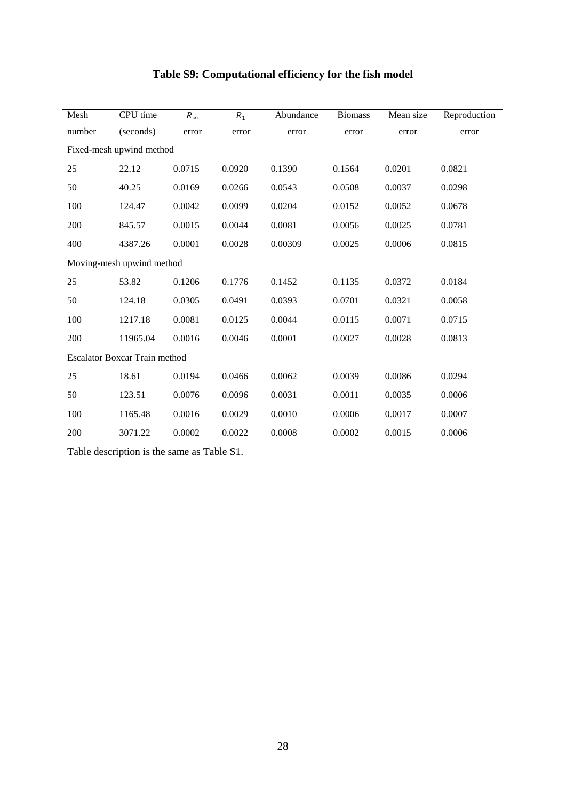| Mesh                     | CPU time                             | $R_{\infty}$ | $R_1$  | Abundance | <b>Biomass</b> | Mean size | Reproduction |  |  |
|--------------------------|--------------------------------------|--------------|--------|-----------|----------------|-----------|--------------|--|--|
| number                   | (seconds)                            | error        | error  | error     | error          | error     | error        |  |  |
| Fixed-mesh upwind method |                                      |              |        |           |                |           |              |  |  |
| 25                       | 22.12                                | 0.0715       | 0.0920 | 0.1390    | 0.1564         | 0.0201    | 0.0821       |  |  |
| 50                       | 40.25                                | 0.0169       | 0.0266 | 0.0543    | 0.0508         | 0.0037    | 0.0298       |  |  |
| 100                      | 124.47                               | 0.0042       | 0.0099 | 0.0204    | 0.0152         | 0.0052    | 0.0678       |  |  |
| 200                      | 845.57                               | 0.0015       | 0.0044 | 0.0081    | 0.0056         | 0.0025    | 0.0781       |  |  |
| 400                      | 4387.26                              | 0.0001       | 0.0028 | 0.00309   | 0.0025         | 0.0006    | 0.0815       |  |  |
|                          | Moving-mesh upwind method            |              |        |           |                |           |              |  |  |
| 25                       | 53.82                                | 0.1206       | 0.1776 | 0.1452    | 0.1135         | 0.0372    | 0.0184       |  |  |
| 50                       | 124.18                               | 0.0305       | 0.0491 | 0.0393    | 0.0701         | 0.0321    | 0.0058       |  |  |
| 100                      | 1217.18                              | 0.0081       | 0.0125 | 0.0044    | 0.0115         | 0.0071    | 0.0715       |  |  |
| 200                      | 11965.04                             | 0.0016       | 0.0046 | 0.0001    | 0.0027         | 0.0028    | 0.0813       |  |  |
|                          | <b>Escalator Boxcar Train method</b> |              |        |           |                |           |              |  |  |
| 25                       | 18.61                                | 0.0194       | 0.0466 | 0.0062    | 0.0039         | 0.0086    | 0.0294       |  |  |
| 50                       | 123.51                               | 0.0076       | 0.0096 | 0.0031    | 0.0011         | 0.0035    | 0.0006       |  |  |
| 100                      | 1165.48                              | 0.0016       | 0.0029 | 0.0010    | 0.0006         | 0.0017    | 0.0007       |  |  |
| 200                      | 3071.22                              | 0.0002       | 0.0022 | 0.0008    | 0.0002         | 0.0015    | 0.0006       |  |  |

## **Table S9: Computational efficiency for the fish model**

Table description is the same as Table S1.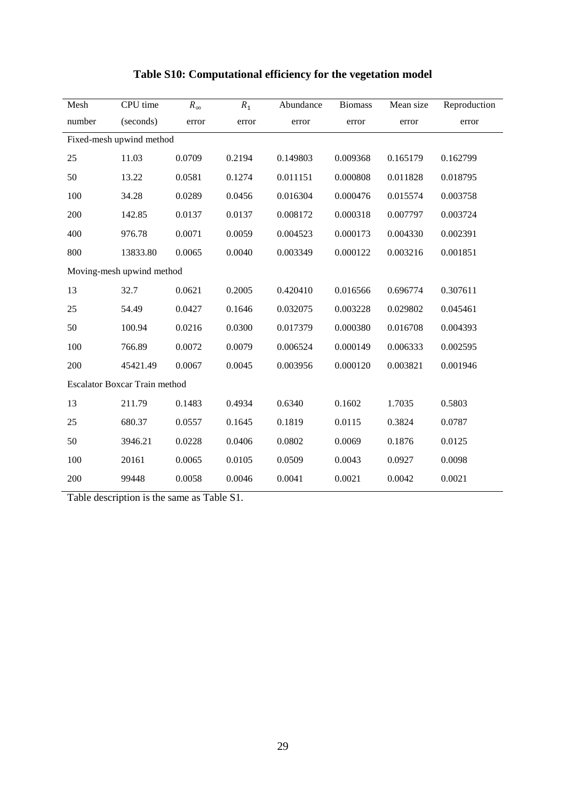| Mesh                     | CPU time                             | $R_{\infty}$ | $R_1$  | Abundance | <b>Biomass</b> | Mean size | Reproduction |  |  |
|--------------------------|--------------------------------------|--------------|--------|-----------|----------------|-----------|--------------|--|--|
| number                   | (seconds)                            | error        | error  | error     | error          | error     | error        |  |  |
| Fixed-mesh upwind method |                                      |              |        |           |                |           |              |  |  |
| 25                       | 11.03                                | 0.0709       | 0.2194 | 0.149803  | 0.009368       | 0.165179  | 0.162799     |  |  |
| 50                       | 13.22                                | 0.0581       | 0.1274 | 0.011151  | 0.000808       | 0.011828  | 0.018795     |  |  |
| 100                      | 34.28                                | 0.0289       | 0.0456 | 0.016304  | 0.000476       | 0.015574  | 0.003758     |  |  |
| 200                      | 142.85                               | 0.0137       | 0.0137 | 0.008172  | 0.000318       | 0.007797  | 0.003724     |  |  |
| 400                      | 976.78                               | 0.0071       | 0.0059 | 0.004523  | 0.000173       | 0.004330  | 0.002391     |  |  |
| 800                      | 13833.80                             | 0.0065       | 0.0040 | 0.003349  | 0.000122       | 0.003216  | 0.001851     |  |  |
|                          | Moving-mesh upwind method            |              |        |           |                |           |              |  |  |
| 13                       | 32.7                                 | 0.0621       | 0.2005 | 0.420410  | 0.016566       | 0.696774  | 0.307611     |  |  |
| 25                       | 54.49                                | 0.0427       | 0.1646 | 0.032075  | 0.003228       | 0.029802  | 0.045461     |  |  |
| 50                       | 100.94                               | 0.0216       | 0.0300 | 0.017379  | 0.000380       | 0.016708  | 0.004393     |  |  |
| 100                      | 766.89                               | 0.0072       | 0.0079 | 0.006524  | 0.000149       | 0.006333  | 0.002595     |  |  |
| 200                      | 45421.49                             | 0.0067       | 0.0045 | 0.003956  | 0.000120       | 0.003821  | 0.001946     |  |  |
|                          | <b>Escalator Boxcar Train method</b> |              |        |           |                |           |              |  |  |
| 13                       | 211.79                               | 0.1483       | 0.4934 | 0.6340    | 0.1602         | 1.7035    | 0.5803       |  |  |
| 25                       | 680.37                               | 0.0557       | 0.1645 | 0.1819    | 0.0115         | 0.3824    | 0.0787       |  |  |
| 50                       | 3946.21                              | 0.0228       | 0.0406 | 0.0802    | 0.0069         | 0.1876    | 0.0125       |  |  |
| 100                      | 20161                                | 0.0065       | 0.0105 | 0.0509    | 0.0043         | 0.0927    | 0.0098       |  |  |
| 200                      | 99448                                | 0.0058       | 0.0046 | 0.0041    | 0.0021         | 0.0042    | 0.0021       |  |  |

## **Table S10: Computational efficiency for the vegetation model**

Table description is the same as Table S1.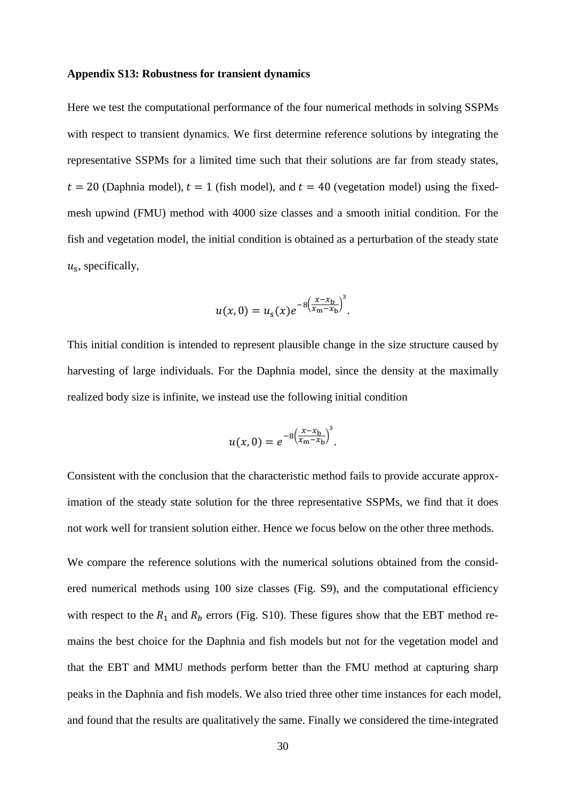### **Appendix S13: Robustness for transient dynamics**

Here we test the computational performance of the four numerical methods in solving SSPMs with respect to transient dynamics. We first determine reference solutions by integrating the representative SSPMs for a limited time such that their solutions are far from steady states,  $t = 20$  (Daphnia model),  $t = 1$  (fish model), and  $t = 40$  (vegetation model) using the fixedmesh upwind (FMU) method with 4000 size classes and a smooth initial condition. For the fish and vegetation model, the initial condition is obtained as a perturbation of the steady state  $u<sub>s</sub>$ , specifically,

$$
u(x, 0) = u_{s}(x)e^{-8\left(\frac{x-x_{b}}{x_{m}-x_{b}}\right)^{3}}.
$$

This initial condition is intended to represent plausible change in the size structure caused by harvesting of large individuals. For the Daphnia model, since the density at the maximally realized body size is infinite, we instead use the following initial condition

$$
u(x, 0) = e^{-8\left(\frac{x - x_{\rm b}}{x_{\rm m} - x_{\rm b}}\right)^3}.
$$

Consistent with the conclusion that the characteristic method fails to provide accurate approximation of the steady state solution for the three representative SSPMs, we find that it does not work well for transient solution either. Hence we focus below on the other three methods.

We compare the reference solutions with the numerical solutions obtained from the considered numerical methods using 100 size classes (Fig. S9), and the computational efficiency with respect to the  $R_1$  and  $R_b$  errors (Fig. S10). These figures show that the EBT method remains the best choice for the Daphnia and fish models but not for the vegetation model and that the EBT and MMU methods perform better than the FMU method at capturing sharp peaks in the Daphnia and fish models. We also tried three other time instances for each model, and found that the results are qualitatively the same. Finally we considered the time-integrated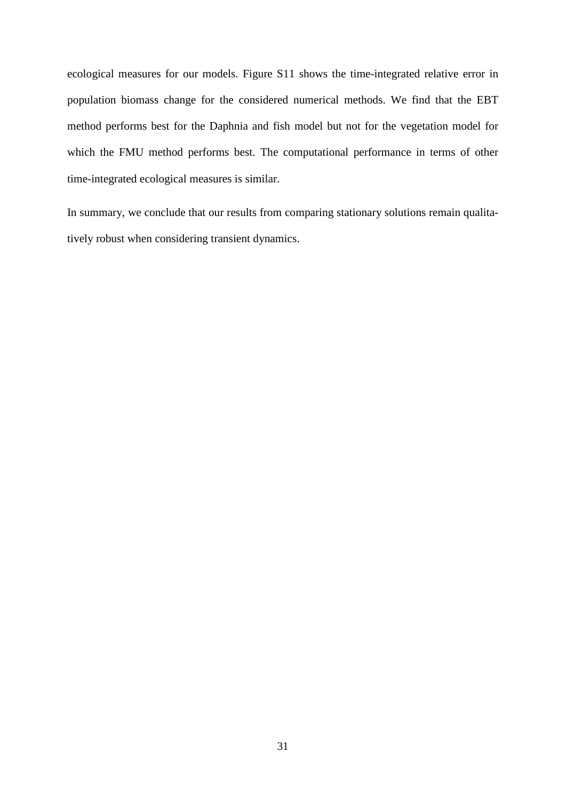ecological measures for our models. Figure S11 shows the time-integrated relative error in population biomass change for the considered numerical methods. We find that the EBT method performs best for the Daphnia and fish model but not for the vegetation model for which the FMU method performs best. The computational performance in terms of other time-integrated ecological measures is similar.

In summary, we conclude that our results from comparing stationary solutions remain qualitatively robust when considering transient dynamics.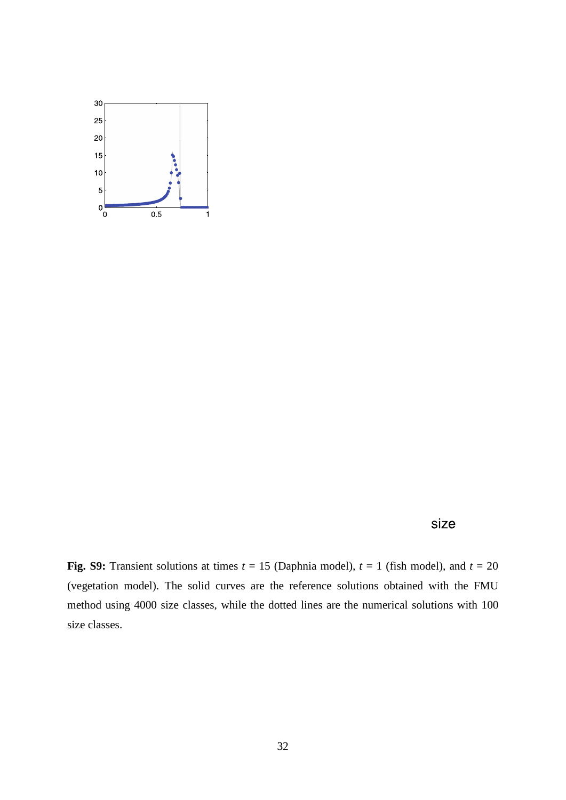

size

**Fig. S9:** Transient solutions at times  $t = 15$  (Daphnia model),  $t = 1$  (fish model), and  $t = 20$ (vegetation model). The solid curves are the reference solutions obtained with the FMU method using 4000 size classes, while the dotted lines are the numerical solutions with 100 size classes.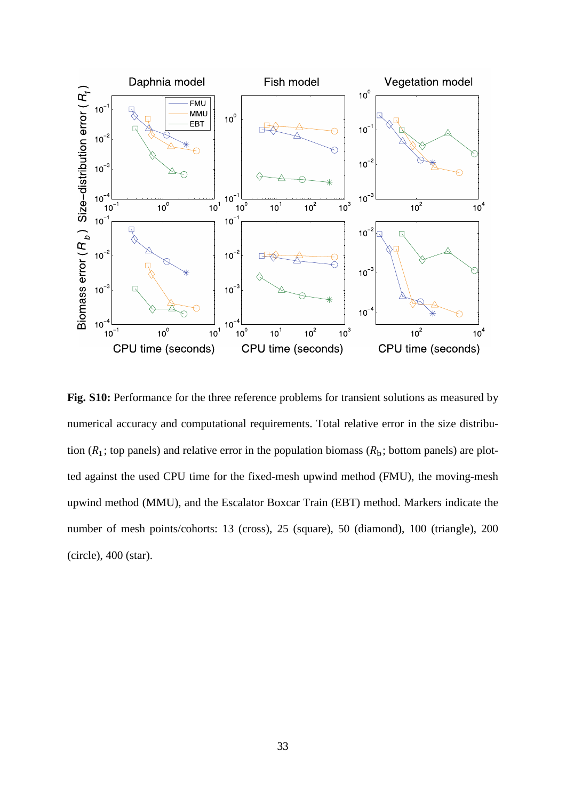

**Fig. S10:** Performance for the three reference problems for transient solutions as measured by numerical accuracy and computational requirements. Total relative error in the size distribution ( $R_1$ ; top panels) and relative error in the population biomass ( $R_b$ ; bottom panels) are plotted against the used CPU time for the fixed-mesh upwind method (FMU), the moving-mesh upwind method (MMU), and the Escalator Boxcar Train (EBT) method. Markers indicate the number of mesh points/cohorts: 13 (cross), 25 (square), 50 (diamond), 100 (triangle), 200 (circle), 400 (star).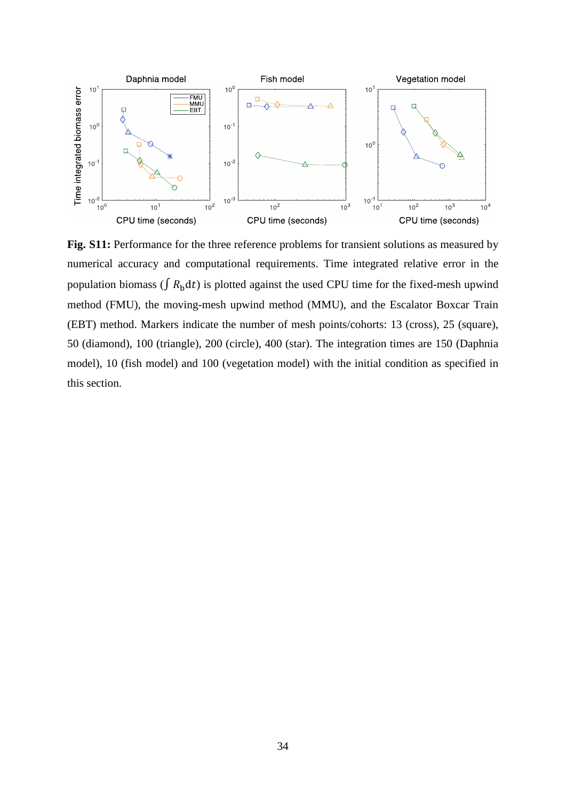

**Fig. S11:** Performance for the three reference problems for transient solutions as measured by numerical accuracy and computational requirements. Time integrated relative error in the population biomass ( $\int R_{\rm b} dt$ ) is plotted against the used CPU time for the fixed-mesh upwind method (FMU), the moving-mesh upwind method (MMU), and the Escalator Boxcar Train (EBT) method. Markers indicate the number of mesh points/cohorts: 13 (cross), 25 (square), 50 (diamond), 100 (triangle), 200 (circle), 400 (star). The integration times are 150 (Daphnia model), 10 (fish model) and 100 (vegetation model) with the initial condition as specified in this section.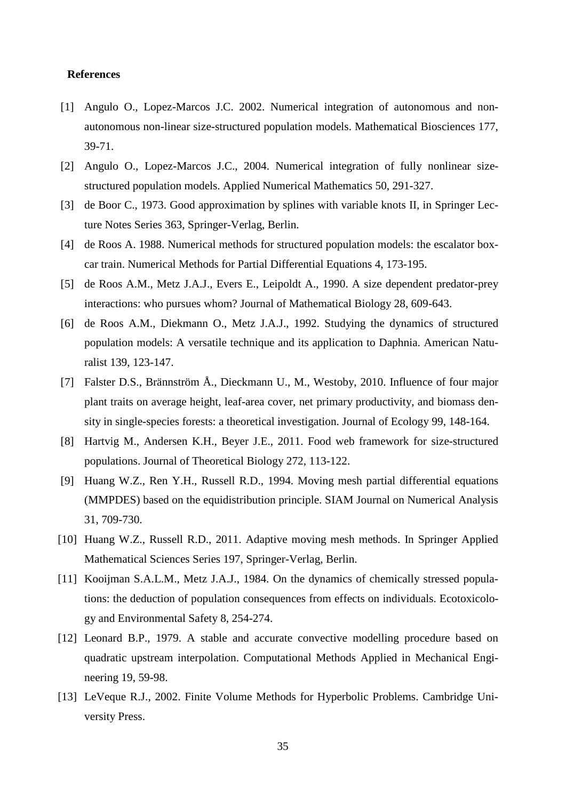### **References**

- [1] Angulo O., Lopez-Marcos J.C. 2002. Numerical integration of autonomous and nonautonomous non-linear size-structured population models. Mathematical Biosciences 177, 39-71.
- [2] Angulo O., Lopez-Marcos J.C., 2004. Numerical integration of fully nonlinear sizestructured population models. Applied Numerical Mathematics 50, 291-327.
- [3] de Boor C., 1973. Good approximation by splines with variable knots II, in Springer Lecture Notes Series 363, Springer-Verlag, Berlin.
- [4] de Roos A. 1988. Numerical methods for structured population models: the escalator boxcar train. Numerical Methods for Partial Differential Equations 4, 173-195.
- [5] de Roos A.M., Metz J.A.J., Evers E., Leipoldt A., 1990. A size dependent predator-prey interactions: who pursues whom? Journal of Mathematical Biology 28, 609-643.
- [6] de Roos A.M., Diekmann O., Metz J.A.J., 1992. Studying the dynamics of structured population models: A versatile technique and its application to Daphnia. American Naturalist 139, 123-147.
- [7] Falster D.S., Brännström Å., Dieckmann U., M., Westoby, 2010. Influence of four major plant traits on average height, leaf-area cover, net primary productivity, and biomass density in single-species forests: a theoretical investigation. Journal of Ecology 99, 148-164.
- [8] Hartvig M., Andersen K.H., Beyer J.E., 2011. Food web framework for size-structured populations. Journal of Theoretical Biology 272, 113-122.
- [9] Huang W.Z., Ren Y.H., Russell R.D., 1994. Moving mesh partial differential equations (MMPDES) based on the equidistribution principle. SIAM Journal on Numerical Analysis 31, 709-730.
- [10] Huang W.Z., Russell R.D., 2011. Adaptive moving mesh methods. In Springer Applied Mathematical Sciences Series 197, Springer-Verlag, Berlin.
- [11] Kooijman S.A.L.M., Metz J.A.J., 1984. On the dynamics of chemically stressed populations: the deduction of population consequences from effects on individuals. Ecotoxicology and Environmental Safety 8, 254-274.
- [12] Leonard B.P., 1979. A stable and accurate convective modelling procedure based on quadratic upstream interpolation. Computational Methods Applied in Mechanical Engineering 19, 59-98.
- [13] LeVeque R.J., 2002. Finite Volume Methods for Hyperbolic Problems. Cambridge University Press.